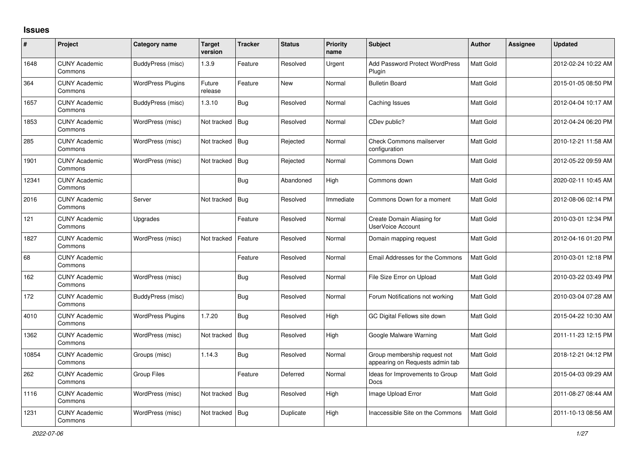## **Issues**

| $\#$  | Project                         | Category name            | <b>Target</b><br>version | <b>Tracker</b> | <b>Status</b> | <b>Priority</b><br>name | Subject                                                         | Author           | <b>Assignee</b> | <b>Updated</b>      |
|-------|---------------------------------|--------------------------|--------------------------|----------------|---------------|-------------------------|-----------------------------------------------------------------|------------------|-----------------|---------------------|
| 1648  | <b>CUNY Academic</b><br>Commons | BuddyPress (misc)        | 1.3.9                    | Feature        | Resolved      | Urgent                  | <b>Add Password Protect WordPress</b><br>Plugin                 | Matt Gold        |                 | 2012-02-24 10:22 AM |
| 364   | <b>CUNY Academic</b><br>Commons | <b>WordPress Plugins</b> | Future<br>release        | Feature        | New           | Normal                  | <b>Bulletin Board</b>                                           | Matt Gold        |                 | 2015-01-05 08:50 PM |
| 1657  | <b>CUNY Academic</b><br>Commons | BuddyPress (misc)        | 1.3.10                   | <b>Bug</b>     | Resolved      | Normal                  | Caching Issues                                                  | Matt Gold        |                 | 2012-04-04 10:17 AM |
| 1853  | <b>CUNY Academic</b><br>Commons | WordPress (misc)         | Not tracked              | Bug            | Resolved      | Normal                  | CDev public?                                                    | Matt Gold        |                 | 2012-04-24 06:20 PM |
| 285   | <b>CUNY Academic</b><br>Commons | WordPress (misc)         | Not tracked              | $\vert$ Bug    | Rejected      | Normal                  | <b>Check Commons mailserver</b><br>configuration                | Matt Gold        |                 | 2010-12-21 11:58 AM |
| 1901  | <b>CUNY Academic</b><br>Commons | WordPress (misc)         | Not tracked              | Bug            | Rejected      | Normal                  | <b>Commons Down</b>                                             | Matt Gold        |                 | 2012-05-22 09:59 AM |
| 12341 | <b>CUNY Academic</b><br>Commons |                          |                          | <b>Bug</b>     | Abandoned     | High                    | Commons down                                                    | Matt Gold        |                 | 2020-02-11 10:45 AM |
| 2016  | <b>CUNY Academic</b><br>Commons | Server                   | Not tracked              | Bug            | Resolved      | Immediate               | Commons Down for a moment                                       | Matt Gold        |                 | 2012-08-06 02:14 PM |
| 121   | <b>CUNY Academic</b><br>Commons | Upgrades                 |                          | Feature        | Resolved      | Normal                  | Create Domain Aliasing for<br>UserVoice Account                 | <b>Matt Gold</b> |                 | 2010-03-01 12:34 PM |
| 1827  | <b>CUNY Academic</b><br>Commons | WordPress (misc)         | Not tracked              | Feature        | Resolved      | Normal                  | Domain mapping request                                          | Matt Gold        |                 | 2012-04-16 01:20 PM |
| 68    | <b>CUNY Academic</b><br>Commons |                          |                          | Feature        | Resolved      | Normal                  | <b>Email Addresses for the Commons</b>                          | Matt Gold        |                 | 2010-03-01 12:18 PM |
| 162   | <b>CUNY Academic</b><br>Commons | WordPress (misc)         |                          | <b>Bug</b>     | Resolved      | Normal                  | File Size Error on Upload                                       | Matt Gold        |                 | 2010-03-22 03:49 PM |
| 172   | <b>CUNY Academic</b><br>Commons | BuddyPress (misc)        |                          | <b>Bug</b>     | Resolved      | Normal                  | Forum Notifications not working                                 | Matt Gold        |                 | 2010-03-04 07:28 AM |
| 4010  | <b>CUNY Academic</b><br>Commons | <b>WordPress Plugins</b> | 1.7.20                   | Bug            | Resolved      | High                    | GC Digital Fellows site down                                    | Matt Gold        |                 | 2015-04-22 10:30 AM |
| 1362  | <b>CUNY Academic</b><br>Commons | WordPress (misc)         | Not tracked              | Bug            | Resolved      | High                    | Google Malware Warning                                          | Matt Gold        |                 | 2011-11-23 12:15 PM |
| 10854 | <b>CUNY Academic</b><br>Commons | Groups (misc)            | 1.14.3                   | Bug            | Resolved      | Normal                  | Group membership request not<br>appearing on Requests admin tab | Matt Gold        |                 | 2018-12-21 04:12 PM |
| 262   | <b>CUNY Academic</b><br>Commons | <b>Group Files</b>       |                          | Feature        | Deferred      | Normal                  | Ideas for Improvements to Group<br><b>Docs</b>                  | Matt Gold        |                 | 2015-04-03 09:29 AM |
| 1116  | <b>CUNY Academic</b><br>Commons | WordPress (misc)         | Not tracked              | Bug            | Resolved      | High                    | Image Upload Error                                              | <b>Matt Gold</b> |                 | 2011-08-27 08:44 AM |
| 1231  | <b>CUNY Academic</b><br>Commons | WordPress (misc)         | Not tracked              | Bug            | Duplicate     | High                    | Inaccessible Site on the Commons                                | Matt Gold        |                 | 2011-10-13 08:56 AM |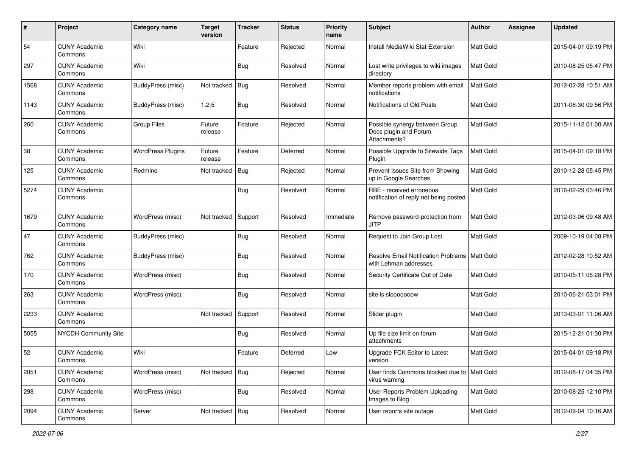| #    | Project                         | Category name            | Target<br>version | <b>Tracker</b> | <b>Status</b> | <b>Priority</b><br>name | Subject                                                                 | <b>Author</b>    | <b>Assignee</b> | <b>Updated</b>      |
|------|---------------------------------|--------------------------|-------------------|----------------|---------------|-------------------------|-------------------------------------------------------------------------|------------------|-----------------|---------------------|
| 54   | <b>CUNY Academic</b><br>Commons | Wiki                     |                   | Feature        | Rejected      | Normal                  | Install MediaWiki Stat Extension                                        | Matt Gold        |                 | 2015-04-01 09:19 PM |
| 297  | <b>CUNY Academic</b><br>Commons | Wiki                     |                   | <b>Bug</b>     | Resolved      | Normal                  | Lost write privileges to wiki images<br>directory                       | Matt Gold        |                 | 2010-08-25 05:47 PM |
| 1568 | CUNY Academic<br>Commons        | BuddyPress (misc)        | Not tracked       | Bug            | Resolved      | Normal                  | Member reports problem with email<br>notifications                      | Matt Gold        |                 | 2012-02-28 10:51 AM |
| 1143 | <b>CUNY Academic</b><br>Commons | BuddyPress (misc)        | 1.2.5             | Bug            | Resolved      | Normal                  | Notifications of Old Posts                                              | Matt Gold        |                 | 2011-08-30 09:56 PM |
| 260  | <b>CUNY Academic</b><br>Commons | <b>Group Files</b>       | Future<br>release | Feature        | Rejected      | Normal                  | Possible synergy between Group<br>Docs plugin and Forum<br>Attachments? | <b>Matt Gold</b> |                 | 2015-11-12 01:00 AM |
| 38   | <b>CUNY Academic</b><br>Commons | <b>WordPress Plugins</b> | Future<br>release | Feature        | Deferred      | Normal                  | Possible Upgrade to Sitewide Tags<br>Plugin                             | <b>Matt Gold</b> |                 | 2015-04-01 09:18 PM |
| 125  | <b>CUNY Academic</b><br>Commons | Redmine                  | Not tracked       | Bug            | Rejected      | Normal                  | Prevent Issues Site from Showing<br>up in Google Searches               | Matt Gold        |                 | 2010-12-28 05:45 PM |
| 5274 | <b>CUNY Academic</b><br>Commons |                          |                   | <b>Bug</b>     | Resolved      | Normal                  | RBE - received erroneous<br>notification of reply not being posted      | Matt Gold        |                 | 2016-02-29 03:46 PM |
| 1679 | <b>CUNY Academic</b><br>Commons | WordPress (misc)         | Not tracked       | Support        | Resolved      | Immediate               | Remove password-protection from<br>JITP                                 | Matt Gold        |                 | 2012-03-06 09:48 AM |
| 47   | <b>CUNY Academic</b><br>Commons | BuddyPress (misc)        |                   | Bug            | Resolved      | Normal                  | Request to Join Group Lost                                              | Matt Gold        |                 | 2009-10-19 04:08 PM |
| 762  | <b>CUNY Academic</b><br>Commons | BuddyPress (misc)        |                   | Bug            | Resolved      | Normal                  | <b>Resolve Email Notification Problems</b><br>with Lehman addresses     | Matt Gold        |                 | 2012-02-28 10:52 AM |
| 170  | CUNY Academic<br>Commons        | WordPress (misc)         |                   | <b>Bug</b>     | Resolved      | Normal                  | Security Certificate Out of Date                                        | Matt Gold        |                 | 2010-05-11 05:28 PM |
| 263  | <b>CUNY Academic</b><br>Commons | WordPress (misc)         |                   | <b>Bug</b>     | Resolved      | Normal                  | site is slooooooow                                                      | <b>Matt Gold</b> |                 | 2010-06-21 03:01 PM |
| 2233 | <b>CUNY Academic</b><br>Commons |                          | Not tracked       | Support        | Resolved      | Normal                  | Slider plugin                                                           | Matt Gold        |                 | 2013-03-01 11:06 AM |
| 5055 | NYCDH Community Site            |                          |                   | <b>Bug</b>     | Resolved      | Normal                  | Up file size limit on forum<br>attachments                              | Matt Gold        |                 | 2015-12-21 01:30 PM |
| 52   | CUNY Academic<br>Commons        | Wiki                     |                   | Feature        | Deferred      | Low                     | Upgrade FCK Editor to Latest<br>version                                 | Matt Gold        |                 | 2015-04-01 09:18 PM |
| 2051 | <b>CUNY Academic</b><br>Commons | WordPress (misc)         | Not tracked   Bug |                | Rejected      | Normal                  | User finds Commons blocked due to   Matt Gold<br>virus warning          |                  |                 | 2012-08-17 04:35 PM |
| 298  | <b>CUNY Academic</b><br>Commons | WordPress (misc)         |                   | <b>Bug</b>     | Resolved      | Normal                  | User Reports Problem Uploading<br>Images to Blog                        | Matt Gold        |                 | 2010-08-25 12:10 PM |
| 2094 | <b>CUNY Academic</b><br>Commons | Server                   | Not tracked   Bug |                | Resolved      | Normal                  | User reports site outage                                                | Matt Gold        |                 | 2012-09-04 10:16 AM |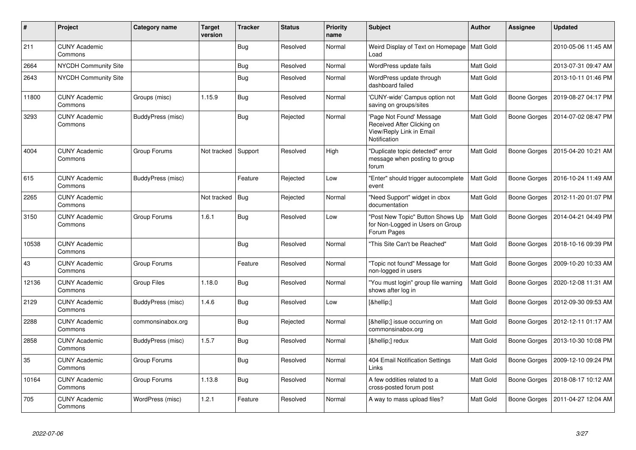| $\#$  | Project                         | Category name     | <b>Target</b><br>version | <b>Tracker</b> | <b>Status</b> | <b>Priority</b><br>name | <b>Subject</b>                                                                                     | <b>Author</b>    | Assignee     | <b>Updated</b>      |
|-------|---------------------------------|-------------------|--------------------------|----------------|---------------|-------------------------|----------------------------------------------------------------------------------------------------|------------------|--------------|---------------------|
| 211   | <b>CUNY Academic</b><br>Commons |                   |                          | <b>Bug</b>     | Resolved      | Normal                  | Weird Display of Text on Homepage<br>Load                                                          | <b>Matt Gold</b> |              | 2010-05-06 11:45 AM |
| 2664  | <b>NYCDH Community Site</b>     |                   |                          | Bug            | Resolved      | Normal                  | WordPress update fails                                                                             | Matt Gold        |              | 2013-07-31 09:47 AM |
| 2643  | NYCDH Community Site            |                   |                          | <b>Bug</b>     | Resolved      | Normal                  | WordPress update through<br>dashboard failed                                                       | Matt Gold        |              | 2013-10-11 01:46 PM |
| 11800 | <b>CUNY Academic</b><br>Commons | Groups (misc)     | 1.15.9                   | <b>Bug</b>     | Resolved      | Normal                  | 'CUNY-wide' Campus option not<br>saving on groups/sites                                            | Matt Gold        | Boone Gorges | 2019-08-27 04:17 PM |
| 3293  | <b>CUNY Academic</b><br>Commons | BuddyPress (misc) |                          | Bug            | Rejected      | Normal                  | 'Page Not Found' Message<br>Received After Clicking on<br>View/Reply Link in Email<br>Notification | Matt Gold        | Boone Gorges | 2014-07-02 08:47 PM |
| 4004  | <b>CUNY Academic</b><br>Commons | Group Forums      | Not tracked              | Support        | Resolved      | High                    | "Duplicate topic detected" error<br>message when posting to group<br>forum                         | Matt Gold        | Boone Gorges | 2015-04-20 10:21 AM |
| 615   | <b>CUNY Academic</b><br>Commons | BuddyPress (misc) |                          | Feature        | Rejected      | Low                     | 'Enter" should trigger autocomplete<br>event                                                       | Matt Gold        | Boone Gorges | 2016-10-24 11:49 AM |
| 2265  | <b>CUNY Academic</b><br>Commons |                   | Not tracked              | Bug            | Rejected      | Normal                  | "Need Support" widget in cbox<br>documentation                                                     | Matt Gold        | Boone Gorges | 2012-11-20 01:07 PM |
| 3150  | <b>CUNY Academic</b><br>Commons | Group Forums      | 1.6.1                    | <b>Bug</b>     | Resolved      | Low                     | 'Post New Topic" Button Shows Up<br>for Non-Logged in Users on Group<br>Forum Pages                | Matt Gold        | Boone Gorges | 2014-04-21 04:49 PM |
| 10538 | <b>CUNY Academic</b><br>Commons |                   |                          | Bug            | Resolved      | Normal                  | 'This Site Can't be Reached"                                                                       | Matt Gold        | Boone Gorges | 2018-10-16 09:39 PM |
| 43    | <b>CUNY Academic</b><br>Commons | Group Forums      |                          | Feature        | Resolved      | Normal                  | 'Topic not found" Message for<br>non-logged in users                                               | Matt Gold        | Boone Gorges | 2009-10-20 10:33 AM |
| 12136 | <b>CUNY Academic</b><br>Commons | Group Files       | 1.18.0                   | <b>Bug</b>     | Resolved      | Normal                  | "You must login" group file warning<br>shows after log in                                          | Matt Gold        | Boone Gorges | 2020-12-08 11:31 AM |
| 2129  | <b>CUNY Academic</b><br>Commons | BuddyPress (misc) | 1.4.6                    | Bug            | Resolved      | Low                     | […]                                                                                                | Matt Gold        | Boone Gorges | 2012-09-30 09:53 AM |
| 2288  | <b>CUNY Academic</b><br>Commons | commonsinabox.org |                          | <b>Bug</b>     | Rejected      | Normal                  | […] issue occurring on<br>commonsinabox.org                                                        | Matt Gold        | Boone Gorges | 2012-12-11 01:17 AM |
| 2858  | <b>CUNY Academic</b><br>Commons | BuddyPress (misc) | 1.5.7                    | Bug            | Resolved      | Normal                  | […] redux                                                                                          | Matt Gold        | Boone Gorges | 2013-10-30 10:08 PM |
| 35    | <b>CUNY Academic</b><br>Commons | Group Forums      |                          | <b>Bug</b>     | Resolved      | Normal                  | 404 Email Notification Settings<br>Links                                                           | Matt Gold        | Boone Gorges | 2009-12-10 09:24 PM |
| 10164 | <b>CUNY Academic</b><br>Commons | Group Forums      | 1.13.8                   | <b>Bug</b>     | Resolved      | Normal                  | A few oddities related to a<br>cross-posted forum post                                             | Matt Gold        | Boone Gorges | 2018-08-17 10:12 AM |
| 705   | <b>CUNY Academic</b><br>Commons | WordPress (misc)  | 1.2.1                    | Feature        | Resolved      | Normal                  | A way to mass upload files?                                                                        | <b>Matt Gold</b> | Boone Gorges | 2011-04-27 12:04 AM |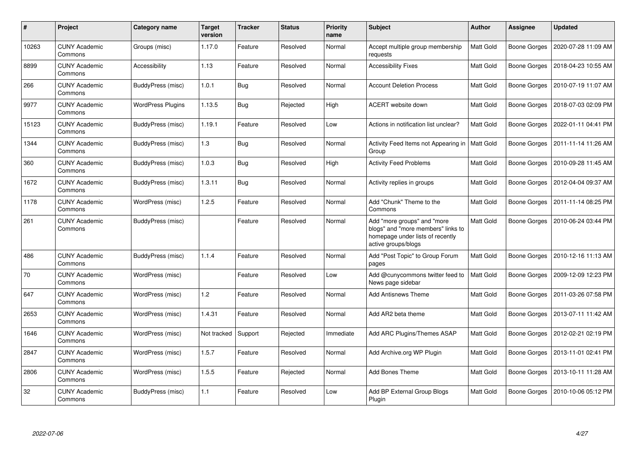| $\#$  | Project                         | <b>Category name</b>     | <b>Target</b><br>version | <b>Tracker</b> | <b>Status</b> | <b>Priority</b><br>name | <b>Subject</b>                                                                                                               | Author           | <b>Assignee</b>     | <b>Updated</b>      |
|-------|---------------------------------|--------------------------|--------------------------|----------------|---------------|-------------------------|------------------------------------------------------------------------------------------------------------------------------|------------------|---------------------|---------------------|
| 10263 | <b>CUNY Academic</b><br>Commons | Groups (misc)            | 1.17.0                   | Feature        | Resolved      | Normal                  | Accept multiple group membership<br>requests                                                                                 | Matt Gold        | Boone Gorges        | 2020-07-28 11:09 AM |
| 8899  | <b>CUNY Academic</b><br>Commons | Accessibility            | 1.13                     | Feature        | Resolved      | Normal                  | <b>Accessibility Fixes</b>                                                                                                   | Matt Gold        | Boone Gorges        | 2018-04-23 10:55 AM |
| 266   | <b>CUNY Academic</b><br>Commons | BuddyPress (misc)        | 1.0.1                    | Bug            | Resolved      | Normal                  | <b>Account Deletion Process</b>                                                                                              | Matt Gold        | Boone Gorges        | 2010-07-19 11:07 AM |
| 9977  | <b>CUNY Academic</b><br>Commons | <b>WordPress Plugins</b> | 1.13.5                   | <b>Bug</b>     | Rejected      | High                    | <b>ACERT</b> website down                                                                                                    | Matt Gold        | Boone Gorges        | 2018-07-03 02:09 PM |
| 15123 | <b>CUNY Academic</b><br>Commons | BuddyPress (misc)        | 1.19.1                   | Feature        | Resolved      | Low                     | Actions in notification list unclear?                                                                                        | Matt Gold        | Boone Gorges        | 2022-01-11 04:41 PM |
| 1344  | <b>CUNY Academic</b><br>Commons | BuddyPress (misc)        | 1.3                      | Bug            | Resolved      | Normal                  | Activity Feed Items not Appearing in<br>Group                                                                                | <b>Matt Gold</b> | Boone Gorges        | 2011-11-14 11:26 AM |
| 360   | <b>CUNY Academic</b><br>Commons | BuddyPress (misc)        | 1.0.3                    | Bug            | Resolved      | High                    | <b>Activity Feed Problems</b>                                                                                                | Matt Gold        | Boone Gorges        | 2010-09-28 11:45 AM |
| 1672  | <b>CUNY Academic</b><br>Commons | BuddyPress (misc)        | 1.3.11                   | <b>Bug</b>     | Resolved      | Normal                  | Activity replies in groups                                                                                                   | Matt Gold        | <b>Boone Gorges</b> | 2012-04-04 09:37 AM |
| 1178  | <b>CUNY Academic</b><br>Commons | WordPress (misc)         | 1.2.5                    | Feature        | Resolved      | Normal                  | Add "Chunk" Theme to the<br>Commons                                                                                          | Matt Gold        | Boone Gorges        | 2011-11-14 08:25 PM |
| 261   | <b>CUNY Academic</b><br>Commons | BuddyPress (misc)        |                          | Feature        | Resolved      | Normal                  | Add "more groups" and "more<br>blogs" and "more members" links to<br>homepage under lists of recently<br>active groups/blogs | Matt Gold        | Boone Gorges        | 2010-06-24 03:44 PM |
| 486   | <b>CUNY Academic</b><br>Commons | BuddyPress (misc)        | 1.1.4                    | Feature        | Resolved      | Normal                  | Add "Post Topic" to Group Forum<br>pages                                                                                     | <b>Matt Gold</b> | Boone Gorges        | 2010-12-16 11:13 AM |
| 70    | <b>CUNY Academic</b><br>Commons | WordPress (misc)         |                          | Feature        | Resolved      | Low                     | Add @cunycommons twitter feed to<br>News page sidebar                                                                        | Matt Gold        | Boone Gorges        | 2009-12-09 12:23 PM |
| 647   | <b>CUNY Academic</b><br>Commons | WordPress (misc)         | 1.2                      | Feature        | Resolved      | Normal                  | <b>Add Antisnews Theme</b>                                                                                                   | Matt Gold        | Boone Gorges        | 2011-03-26 07:58 PM |
| 2653  | <b>CUNY Academic</b><br>Commons | WordPress (misc)         | 1.4.31                   | Feature        | Resolved      | Normal                  | Add AR2 beta theme                                                                                                           | Matt Gold        | Boone Gorges        | 2013-07-11 11:42 AM |
| 1646  | <b>CUNY Academic</b><br>Commons | WordPress (misc)         | Not tracked              | Support        | Rejected      | Immediate               | Add ARC Plugins/Themes ASAP                                                                                                  | Matt Gold        | Boone Gorges        | 2012-02-21 02:19 PM |
| 2847  | <b>CUNY Academic</b><br>Commons | WordPress (misc)         | 1.5.7                    | Feature        | Resolved      | Normal                  | Add Archive.org WP Plugin                                                                                                    | Matt Gold        | Boone Gorges        | 2013-11-01 02:41 PM |
| 2806  | <b>CUNY Academic</b><br>Commons | WordPress (misc)         | 1.5.5                    | Feature        | Rejected      | Normal                  | <b>Add Bones Theme</b>                                                                                                       | Matt Gold        | Boone Gorges        | 2013-10-11 11:28 AM |
| 32    | <b>CUNY Academic</b><br>Commons | BuddyPress (misc)        | 1.1                      | Feature        | Resolved      | Low                     | Add BP External Group Blogs<br>Plugin                                                                                        | Matt Gold        | Boone Gorges        | 2010-10-06 05:12 PM |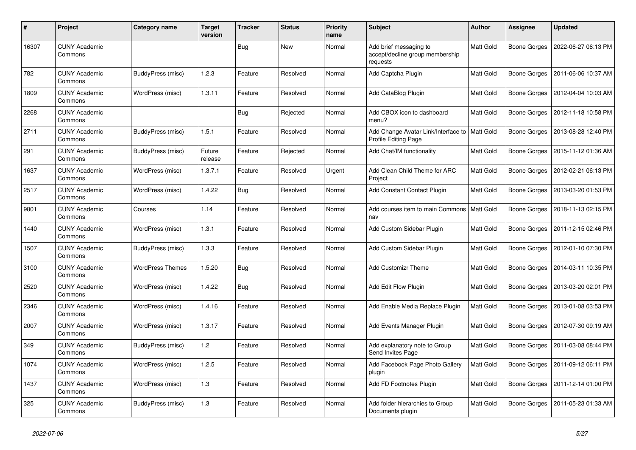| $\pmb{\#}$ | Project                         | Category name           | <b>Target</b><br>version | <b>Tracker</b> | <b>Status</b> | <b>Priority</b><br>name | <b>Subject</b>                                                        | <b>Author</b>    | <b>Assignee</b> | <b>Updated</b>      |
|------------|---------------------------------|-------------------------|--------------------------|----------------|---------------|-------------------------|-----------------------------------------------------------------------|------------------|-----------------|---------------------|
| 16307      | <b>CUNY Academic</b><br>Commons |                         |                          | <b>Bug</b>     | <b>New</b>    | Normal                  | Add brief messaging to<br>accept/decline group membership<br>requests | <b>Matt Gold</b> | Boone Gorges    | 2022-06-27 06:13 PM |
| 782        | <b>CUNY Academic</b><br>Commons | BuddyPress (misc)       | 1.2.3                    | Feature        | Resolved      | Normal                  | Add Captcha Plugin                                                    | Matt Gold        | Boone Gorges    | 2011-06-06 10:37 AM |
| 1809       | <b>CUNY Academic</b><br>Commons | WordPress (misc)        | 1.3.11                   | Feature        | Resolved      | Normal                  | Add CataBlog Plugin                                                   | Matt Gold        | Boone Gorges    | 2012-04-04 10:03 AM |
| 2268       | <b>CUNY Academic</b><br>Commons |                         |                          | <b>Bug</b>     | Rejected      | Normal                  | Add CBOX icon to dashboard<br>menu?                                   | Matt Gold        | Boone Gorges    | 2012-11-18 10:58 PM |
| 2711       | <b>CUNY Academic</b><br>Commons | BuddyPress (misc)       | 1.5.1                    | Feature        | Resolved      | Normal                  | Add Change Avatar Link/Interface to<br><b>Profile Editing Page</b>    | Matt Gold        | Boone Gorges    | 2013-08-28 12:40 PM |
| 291        | <b>CUNY Academic</b><br>Commons | BuddyPress (misc)       | Future<br>release        | Feature        | Rejected      | Normal                  | Add Chat/IM functionality                                             | Matt Gold        | Boone Gorges    | 2015-11-12 01:36 AM |
| 1637       | <b>CUNY Academic</b><br>Commons | WordPress (misc)        | 1.3.7.1                  | Feature        | Resolved      | Urgent                  | Add Clean Child Theme for ARC<br>Project                              | Matt Gold        | Boone Gorges    | 2012-02-21 06:13 PM |
| 2517       | <b>CUNY Academic</b><br>Commons | WordPress (misc)        | 1.4.22                   | <b>Bug</b>     | Resolved      | Normal                  | Add Constant Contact Plugin                                           | Matt Gold        | Boone Gorges    | 2013-03-20 01:53 PM |
| 9801       | <b>CUNY Academic</b><br>Commons | Courses                 | 1.14                     | Feature        | Resolved      | Normal                  | Add courses item to main Commons<br>nav                               | Matt Gold        | Boone Gorges    | 2018-11-13 02:15 PM |
| 1440       | <b>CUNY Academic</b><br>Commons | WordPress (misc)        | 1.3.1                    | Feature        | Resolved      | Normal                  | Add Custom Sidebar Plugin                                             | Matt Gold        | Boone Gorges    | 2011-12-15 02:46 PM |
| 1507       | <b>CUNY Academic</b><br>Commons | BuddyPress (misc)       | 1.3.3                    | Feature        | Resolved      | Normal                  | Add Custom Sidebar Plugin                                             | Matt Gold        | Boone Gorges    | 2012-01-10 07:30 PM |
| 3100       | <b>CUNY Academic</b><br>Commons | <b>WordPress Themes</b> | 1.5.20                   | <b>Bug</b>     | Resolved      | Normal                  | Add Customizr Theme                                                   | Matt Gold        | Boone Gorges    | 2014-03-11 10:35 PM |
| 2520       | <b>CUNY Academic</b><br>Commons | WordPress (misc)        | 1.4.22                   | <b>Bug</b>     | Resolved      | Normal                  | Add Edit Flow Plugin                                                  | Matt Gold        | Boone Gorges    | 2013-03-20 02:01 PM |
| 2346       | <b>CUNY Academic</b><br>Commons | WordPress (misc)        | 1.4.16                   | Feature        | Resolved      | Normal                  | Add Enable Media Replace Plugin                                       | Matt Gold        | Boone Gorges    | 2013-01-08 03:53 PM |
| 2007       | <b>CUNY Academic</b><br>Commons | WordPress (misc)        | 1.3.17                   | Feature        | Resolved      | Normal                  | Add Events Manager Plugin                                             | Matt Gold        | Boone Gorges    | 2012-07-30 09:19 AM |
| 349        | <b>CUNY Academic</b><br>Commons | BuddyPress (misc)       | 1.2                      | Feature        | Resolved      | Normal                  | Add explanatory note to Group<br>Send Invites Page                    | Matt Gold        | Boone Gorges    | 2011-03-08 08:44 PM |
| 1074       | <b>CUNY Academic</b><br>Commons | WordPress (misc)        | 1.2.5                    | Feature        | Resolved      | Normal                  | Add Facebook Page Photo Gallery<br>plugin                             | Matt Gold        | Boone Gorges    | 2011-09-12 06:11 PM |
| 1437       | <b>CUNY Academic</b><br>Commons | WordPress (misc)        | 1.3                      | Feature        | Resolved      | Normal                  | Add FD Footnotes Plugin                                               | Matt Gold        | Boone Gorges    | 2011-12-14 01:00 PM |
| 325        | <b>CUNY Academic</b><br>Commons | BuddyPress (misc)       | 1.3                      | Feature        | Resolved      | Normal                  | Add folder hierarchies to Group<br>Documents plugin                   | Matt Gold        | Boone Gorges    | 2011-05-23 01:33 AM |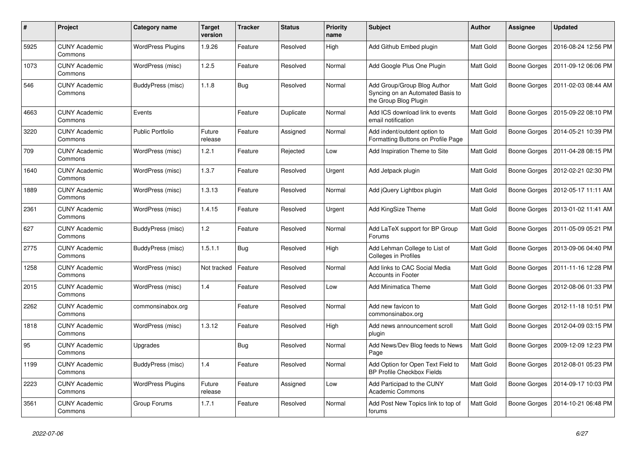| #    | Project                         | Category name            | <b>Target</b><br>version | <b>Tracker</b> | <b>Status</b> | <b>Priority</b><br>name | <b>Subject</b>                                                                           | Author           | Assignee            | <b>Updated</b>      |
|------|---------------------------------|--------------------------|--------------------------|----------------|---------------|-------------------------|------------------------------------------------------------------------------------------|------------------|---------------------|---------------------|
| 5925 | <b>CUNY Academic</b><br>Commons | <b>WordPress Plugins</b> | 1.9.26                   | Feature        | Resolved      | High                    | Add Github Embed plugin                                                                  | Matt Gold        | <b>Boone Gorges</b> | 2016-08-24 12:56 PM |
| 1073 | <b>CUNY Academic</b><br>Commons | WordPress (misc)         | 1.2.5                    | Feature        | Resolved      | Normal                  | Add Google Plus One Plugin                                                               | Matt Gold        | Boone Gorges        | 2011-09-12 06:06 PM |
| 546  | CUNY Academic<br>Commons        | BuddyPress (misc)        | 1.1.8                    | Bug            | Resolved      | Normal                  | Add Group/Group Blog Author<br>Syncing on an Automated Basis to<br>the Group Blog Plugin | Matt Gold        | Boone Gorges        | 2011-02-03 08:44 AM |
| 4663 | <b>CUNY Academic</b><br>Commons | Events                   |                          | Feature        | Duplicate     | Normal                  | Add ICS download link to events<br>email notification                                    | <b>Matt Gold</b> | Boone Gorges        | 2015-09-22 08:10 PM |
| 3220 | <b>CUNY Academic</b><br>Commons | <b>Public Portfolio</b>  | Future<br>release        | Feature        | Assigned      | Normal                  | Add indent/outdent option to<br>Formatting Buttons on Profile Page                       | Matt Gold        | Boone Gorges        | 2014-05-21 10:39 PM |
| 709  | <b>CUNY Academic</b><br>Commons | WordPress (misc)         | 1.2.1                    | Feature        | Rejected      | Low                     | Add Inspiration Theme to Site                                                            | Matt Gold        | <b>Boone Gorges</b> | 2011-04-28 08:15 PM |
| 1640 | <b>CUNY Academic</b><br>Commons | WordPress (misc)         | 1.3.7                    | Feature        | Resolved      | Urgent                  | Add Jetpack plugin                                                                       | Matt Gold        | Boone Gorges        | 2012-02-21 02:30 PM |
| 1889 | <b>CUNY Academic</b><br>Commons | WordPress (misc)         | 1.3.13                   | Feature        | Resolved      | Normal                  | Add jQuery Lightbox plugin                                                               | Matt Gold        | Boone Gorges        | 2012-05-17 11:11 AM |
| 2361 | <b>CUNY Academic</b><br>Commons | WordPress (misc)         | 1.4.15                   | Feature        | Resolved      | Urgent                  | Add KingSize Theme                                                                       | Matt Gold        | Boone Gorges        | 2013-01-02 11:41 AM |
| 627  | <b>CUNY Academic</b><br>Commons | BuddyPress (misc)        | 1.2                      | Feature        | Resolved      | Normal                  | Add LaTeX support for BP Group<br>Forums                                                 | Matt Gold        | Boone Gorges        | 2011-05-09 05:21 PM |
| 2775 | <b>CUNY Academic</b><br>Commons | BuddyPress (misc)        | 1.5.1.1                  | <b>Bug</b>     | Resolved      | High                    | Add Lehman College to List of<br>Colleges in Profiles                                    | Matt Gold        | Boone Gorges        | 2013-09-06 04:40 PM |
| 1258 | <b>CUNY Academic</b><br>Commons | WordPress (misc)         | Not tracked              | Feature        | Resolved      | Normal                  | Add links to CAC Social Media<br>Accounts in Footer                                      | Matt Gold        | <b>Boone Gorges</b> | 2011-11-16 12:28 PM |
| 2015 | <b>CUNY Academic</b><br>Commons | WordPress (misc)         | 1.4                      | Feature        | Resolved      | Low                     | <b>Add Minimatica Theme</b>                                                              | Matt Gold        | Boone Gorges        | 2012-08-06 01:33 PM |
| 2262 | CUNY Academic<br>Commons        | commonsinabox.org        |                          | Feature        | Resolved      | Normal                  | Add new favicon to<br>commonsinabox.org                                                  | Matt Gold        | Boone Gorges        | 2012-11-18 10:51 PM |
| 1818 | <b>CUNY Academic</b><br>Commons | WordPress (misc)         | 1.3.12                   | Feature        | Resolved      | High                    | Add news announcement scroll<br>plugin                                                   | Matt Gold        | Boone Gorges        | 2012-04-09 03:15 PM |
| 95   | <b>CUNY Academic</b><br>Commons | Upgrades                 |                          | <b>Bug</b>     | Resolved      | Normal                  | Add News/Dev Blog feeds to News<br>Page                                                  | Matt Gold        | Boone Gorges        | 2009-12-09 12:23 PM |
| 1199 | <b>CUNY Academic</b><br>Commons | BuddyPress (misc)        | 1.4                      | Feature        | Resolved      | Normal                  | Add Option for Open Text Field to<br><b>BP Profile Checkbox Fields</b>                   | Matt Gold        | Boone Gorges        | 2012-08-01 05:23 PM |
| 2223 | <b>CUNY Academic</b><br>Commons | <b>WordPress Plugins</b> | Future<br>release        | Feature        | Assigned      | Low                     | Add Participad to the CUNY<br><b>Academic Commons</b>                                    | Matt Gold        | Boone Gorges        | 2014-09-17 10:03 PM |
| 3561 | <b>CUNY Academic</b><br>Commons | Group Forums             | 1.7.1                    | Feature        | Resolved      | Normal                  | Add Post New Topics link to top of<br>forums                                             | Matt Gold        | Boone Gorges        | 2014-10-21 06:48 PM |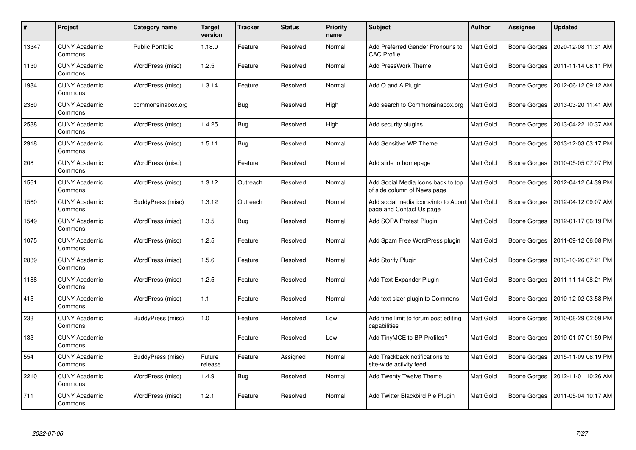| $\#$  | Project                         | Category name           | <b>Target</b><br>version | <b>Tracker</b> | <b>Status</b> | <b>Priority</b><br>name | <b>Subject</b>                                                    | Author           | <b>Assignee</b>     | <b>Updated</b>      |
|-------|---------------------------------|-------------------------|--------------------------|----------------|---------------|-------------------------|-------------------------------------------------------------------|------------------|---------------------|---------------------|
| 13347 | <b>CUNY Academic</b><br>Commons | <b>Public Portfolio</b> | 1.18.0                   | Feature        | Resolved      | Normal                  | Add Preferred Gender Pronouns to<br><b>CAC Profile</b>            | <b>Matt Gold</b> | Boone Gorges        | 2020-12-08 11:31 AM |
| 1130  | <b>CUNY Academic</b><br>Commons | WordPress (misc)        | 1.2.5                    | Feature        | Resolved      | Normal                  | Add PressWork Theme                                               | Matt Gold        | Boone Gorges        | 2011-11-14 08:11 PM |
| 1934  | <b>CUNY Academic</b><br>Commons | WordPress (misc)        | 1.3.14                   | Feature        | Resolved      | Normal                  | Add Q and A Plugin                                                | Matt Gold        | Boone Gorges        | 2012-06-12 09:12 AM |
| 2380  | <b>CUNY Academic</b><br>Commons | commonsinabox.org       |                          | <b>Bug</b>     | Resolved      | High                    | Add search to Commonsinabox.org                                   | Matt Gold        | Boone Gorges        | 2013-03-20 11:41 AM |
| 2538  | <b>CUNY Academic</b><br>Commons | WordPress (misc)        | 1.4.25                   | Bug            | Resolved      | High                    | Add security plugins                                              | Matt Gold        | Boone Gorges        | 2013-04-22 10:37 AM |
| 2918  | <b>CUNY Academic</b><br>Commons | WordPress (misc)        | 1.5.11                   | <b>Bug</b>     | Resolved      | Normal                  | Add Sensitive WP Theme                                            | Matt Gold        | Boone Gorges        | 2013-12-03 03:17 PM |
| 208   | <b>CUNY Academic</b><br>Commons | WordPress (misc)        |                          | Feature        | Resolved      | Normal                  | Add slide to homepage                                             | Matt Gold        | Boone Gorges        | 2010-05-05 07:07 PM |
| 1561  | <b>CUNY Academic</b><br>Commons | WordPress (misc)        | 1.3.12                   | Outreach       | Resolved      | Normal                  | Add Social Media Icons back to top<br>of side column of News page | Matt Gold        | Boone Gorges        | 2012-04-12 04:39 PM |
| 1560  | <b>CUNY Academic</b><br>Commons | BuddyPress (misc)       | 1.3.12                   | Outreach       | Resolved      | Normal                  | Add social media icons/info to About<br>page and Contact Us page  | <b>Matt Gold</b> | Boone Gorges        | 2012-04-12 09:07 AM |
| 1549  | <b>CUNY Academic</b><br>Commons | WordPress (misc)        | 1.3.5                    | <b>Bug</b>     | Resolved      | Normal                  | Add SOPA Protest Plugin                                           | Matt Gold        | Boone Gorges        | 2012-01-17 06:19 PM |
| 1075  | <b>CUNY Academic</b><br>Commons | WordPress (misc)        | 1.2.5                    | Feature        | Resolved      | Normal                  | Add Spam Free WordPress plugin                                    | Matt Gold        | <b>Boone Gorges</b> | 2011-09-12 06:08 PM |
| 2839  | <b>CUNY Academic</b><br>Commons | WordPress (misc)        | 1.5.6                    | Feature        | Resolved      | Normal                  | Add Storify Plugin                                                | Matt Gold        | Boone Gorges        | 2013-10-26 07:21 PM |
| 1188  | <b>CUNY Academic</b><br>Commons | WordPress (misc)        | 1.2.5                    | Feature        | Resolved      | Normal                  | Add Text Expander Plugin                                          | <b>Matt Gold</b> | Boone Gorges        | 2011-11-14 08:21 PM |
| 415   | <b>CUNY Academic</b><br>Commons | WordPress (misc)        | 1.1                      | Feature        | Resolved      | Normal                  | Add text sizer plugin to Commons                                  | Matt Gold        | Boone Gorges        | 2010-12-02 03:58 PM |
| 233   | <b>CUNY Academic</b><br>Commons | BuddyPress (misc)       | 1.0                      | Feature        | Resolved      | Low                     | Add time limit to forum post editing<br>capabilities              | Matt Gold        | Boone Gorges        | 2010-08-29 02:09 PM |
| 133   | <b>CUNY Academic</b><br>Commons |                         |                          | Feature        | Resolved      | Low                     | Add TinyMCE to BP Profiles?                                       | Matt Gold        | <b>Boone Gorges</b> | 2010-01-07 01:59 PM |
| 554   | <b>CUNY Academic</b><br>Commons | BuddyPress (misc)       | Future<br>release        | Feature        | Assigned      | Normal                  | Add Trackback notifications to<br>site-wide activity feed         | <b>Matt Gold</b> | Boone Gorges        | 2015-11-09 06:19 PM |
| 2210  | <b>CUNY Academic</b><br>Commons | WordPress (misc)        | 1.4.9                    | <b>Bug</b>     | Resolved      | Normal                  | Add Twenty Twelve Theme                                           | Matt Gold        | Boone Gorges        | 2012-11-01 10:26 AM |
| 711   | <b>CUNY Academic</b><br>Commons | WordPress (misc)        | 1.2.1                    | Feature        | Resolved      | Normal                  | Add Twitter Blackbird Pie Plugin                                  | Matt Gold        | Boone Gorges        | 2011-05-04 10:17 AM |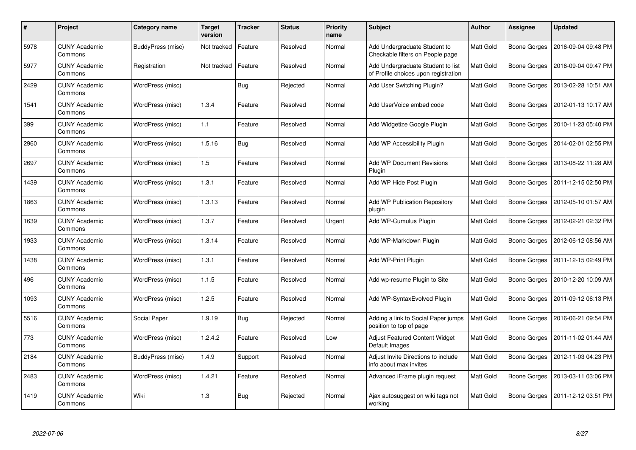| #    | Project                         | Category name     | <b>Target</b><br>version | <b>Tracker</b> | <b>Status</b> | <b>Priority</b><br>name | <b>Subject</b>                                                            | <b>Author</b> | Assignee            | <b>Updated</b>      |
|------|---------------------------------|-------------------|--------------------------|----------------|---------------|-------------------------|---------------------------------------------------------------------------|---------------|---------------------|---------------------|
| 5978 | <b>CUNY Academic</b><br>Commons | BuddyPress (misc) | Not tracked              | Feature        | Resolved      | Normal                  | Add Undergraduate Student to<br>Checkable filters on People page          | Matt Gold     | <b>Boone Gorges</b> | 2016-09-04 09:48 PM |
| 5977 | <b>CUNY Academic</b><br>Commons | Registration      | Not tracked              | Feature        | Resolved      | Normal                  | Add Undergraduate Student to list<br>of Profile choices upon registration | Matt Gold     | <b>Boone Gorges</b> | 2016-09-04 09:47 PM |
| 2429 | <b>CUNY Academic</b><br>Commons | WordPress (misc)  |                          | <b>Bug</b>     | Rejected      | Normal                  | Add User Switching Plugin?                                                | Matt Gold     | Boone Gorges        | 2013-02-28 10:51 AM |
| 1541 | CUNY Academic<br>Commons        | WordPress (misc)  | 1.3.4                    | Feature        | Resolved      | Normal                  | Add UserVoice embed code                                                  | Matt Gold     | Boone Gorges        | 2012-01-13 10:17 AM |
| 399  | <b>CUNY Academic</b><br>Commons | WordPress (misc)  | 1.1                      | Feature        | Resolved      | Normal                  | Add Widgetize Google Plugin                                               | Matt Gold     | <b>Boone Gorges</b> | 2010-11-23 05:40 PM |
| 2960 | <b>CUNY Academic</b><br>Commons | WordPress (misc)  | 1.5.16                   | Bug            | Resolved      | Normal                  | Add WP Accessibility Plugin                                               | Matt Gold     | Boone Gorges        | 2014-02-01 02:55 PM |
| 2697 | <b>CUNY Academic</b><br>Commons | WordPress (misc)  | 1.5                      | Feature        | Resolved      | Normal                  | <b>Add WP Document Revisions</b><br>Plugin                                | Matt Gold     | <b>Boone Gorges</b> | 2013-08-22 11:28 AM |
| 1439 | <b>CUNY Academic</b><br>Commons | WordPress (misc)  | 1.3.1                    | Feature        | Resolved      | Normal                  | Add WP Hide Post Plugin                                                   | Matt Gold     | Boone Gorges        | 2011-12-15 02:50 PM |
| 1863 | <b>CUNY Academic</b><br>Commons | WordPress (misc)  | 1.3.13                   | Feature        | Resolved      | Normal                  | Add WP Publication Repository<br>plugin                                   | Matt Gold     | <b>Boone Gorges</b> | 2012-05-10 01:57 AM |
| 1639 | <b>CUNY Academic</b><br>Commons | WordPress (misc)  | 1.3.7                    | Feature        | Resolved      | Urgent                  | Add WP-Cumulus Plugin                                                     | Matt Gold     | Boone Gorges        | 2012-02-21 02:32 PM |
| 1933 | <b>CUNY Academic</b><br>Commons | WordPress (misc)  | 1.3.14                   | Feature        | Resolved      | Normal                  | Add WP-Markdown Plugin                                                    | Matt Gold     | Boone Gorges        | 2012-06-12 08:56 AM |
| 1438 | <b>CUNY Academic</b><br>Commons | WordPress (misc)  | 1.3.1                    | Feature        | Resolved      | Normal                  | Add WP-Print Plugin                                                       | Matt Gold     | <b>Boone Gorges</b> | 2011-12-15 02:49 PM |
| 496  | <b>CUNY Academic</b><br>Commons | WordPress (misc)  | 1.1.5                    | Feature        | Resolved      | Normal                  | Add wp-resume Plugin to Site                                              | Matt Gold     | Boone Gorges        | 2010-12-20 10:09 AM |
| 1093 | <b>CUNY Academic</b><br>Commons | WordPress (misc)  | 1.2.5                    | Feature        | Resolved      | Normal                  | Add WP-Syntax Evolved Plugin                                              | Matt Gold     | Boone Gorges        | 2011-09-12 06:13 PM |
| 5516 | <b>CUNY Academic</b><br>Commons | Social Paper      | 1.9.19                   | <b>Bug</b>     | Rejected      | Normal                  | Adding a link to Social Paper jumps<br>position to top of page            | Matt Gold     | Boone Gorges        | 2016-06-21 09:54 PM |
| 773  | <b>CUNY Academic</b><br>Commons | WordPress (misc)  | 1.2.4.2                  | Feature        | Resolved      | Low                     | Adjust Featured Content Widget<br>Default Images                          | Matt Gold     | Boone Gorges        | 2011-11-02 01:44 AM |
| 2184 | <b>CUNY Academic</b><br>Commons | BuddyPress (misc) | 1.4.9                    | Support        | Resolved      | Normal                  | Adjust Invite Directions to include<br>info about max invites             | Matt Gold     | Boone Gorges        | 2012-11-03 04:23 PM |
| 2483 | <b>CUNY Academic</b><br>Commons | WordPress (misc)  | 1.4.21                   | Feature        | Resolved      | Normal                  | Advanced iFrame plugin request                                            | Matt Gold     | Boone Gorges        | 2013-03-11 03:06 PM |
| 1419 | <b>CUNY Academic</b><br>Commons | Wiki              | 1.3                      | Bug            | Rejected      | Normal                  | Ajax autosuggest on wiki tags not<br>working                              | Matt Gold     | Boone Gorges        | 2011-12-12 03:51 PM |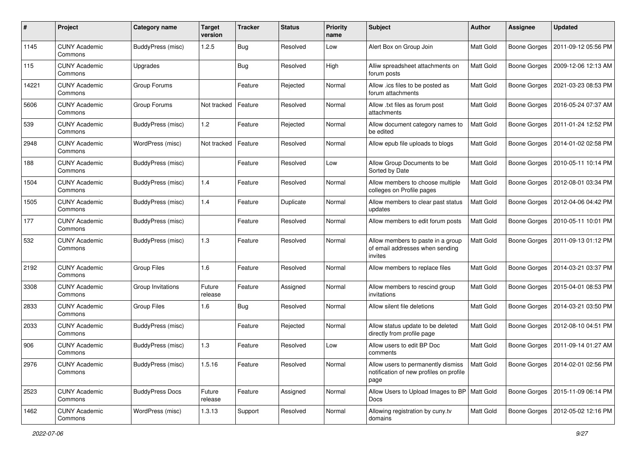| #     | Project                         | Category name          | <b>Target</b><br>version | <b>Tracker</b> | <b>Status</b> | <b>Priority</b><br>name | <b>Subject</b>                                                                        | <b>Author</b> | <b>Assignee</b>     | <b>Updated</b>      |
|-------|---------------------------------|------------------------|--------------------------|----------------|---------------|-------------------------|---------------------------------------------------------------------------------------|---------------|---------------------|---------------------|
| 1145  | <b>CUNY Academic</b><br>Commons | BuddyPress (misc)      | 1.2.5                    | <b>Bug</b>     | Resolved      | Low                     | Alert Box on Group Join                                                               | Matt Gold     | <b>Boone Gorges</b> | 2011-09-12 05:56 PM |
| 115   | <b>CUNY Academic</b><br>Commons | Upgrades               |                          | Bug            | Resolved      | High                    | Alliw spreadsheet attachments on<br>forum posts                                       | Matt Gold     | Boone Gorges        | 2009-12-06 12:13 AM |
| 14221 | CUNY Academic<br>Commons        | Group Forums           |                          | Feature        | Rejected      | Normal                  | Allow .ics files to be posted as<br>forum attachments                                 | Matt Gold     | Boone Gorges        | 2021-03-23 08:53 PM |
| 5606  | <b>CUNY Academic</b><br>Commons | Group Forums           | Not tracked              | Feature        | Resolved      | Normal                  | Allow .txt files as forum post<br>attachments                                         | Matt Gold     | Boone Gorges        | 2016-05-24 07:37 AM |
| 539   | <b>CUNY Academic</b><br>Commons | BuddyPress (misc)      | 1.2                      | Feature        | Rejected      | Normal                  | Allow document category names to<br>be edited                                         | Matt Gold     | <b>Boone Gorges</b> | 2011-01-24 12:52 PM |
| 2948  | <b>CUNY Academic</b><br>Commons | WordPress (misc)       | Not tracked              | Feature        | Resolved      | Normal                  | Allow epub file uploads to blogs                                                      | Matt Gold     | Boone Gorges        | 2014-01-02 02:58 PM |
| 188   | <b>CUNY Academic</b><br>Commons | BuddyPress (misc)      |                          | Feature        | Resolved      | Low                     | Allow Group Documents to be<br>Sorted by Date                                         | Matt Gold     | Boone Gorges        | 2010-05-11 10:14 PM |
| 1504  | <b>CUNY Academic</b><br>Commons | BuddyPress (misc)      | 1.4                      | Feature        | Resolved      | Normal                  | Allow members to choose multiple<br>colleges on Profile pages                         | Matt Gold     | Boone Gorges        | 2012-08-01 03:34 PM |
| 1505  | <b>CUNY Academic</b><br>Commons | BuddyPress (misc)      | 1.4                      | Feature        | Duplicate     | Normal                  | Allow members to clear past status<br>updates                                         | Matt Gold     | Boone Gorges        | 2012-04-06 04:42 PM |
| 177   | <b>CUNY Academic</b><br>Commons | BuddyPress (misc)      |                          | Feature        | Resolved      | Normal                  | Allow members to edit forum posts                                                     | Matt Gold     | <b>Boone Gorges</b> | 2010-05-11 10:01 PM |
| 532   | <b>CUNY Academic</b><br>Commons | BuddyPress (misc)      | 1.3                      | Feature        | Resolved      | Normal                  | Allow members to paste in a group<br>of email addresses when sending<br>invites       | Matt Gold     | Boone Gorges        | 2011-09-13 01:12 PM |
| 2192  | <b>CUNY Academic</b><br>Commons | <b>Group Files</b>     | 1.6                      | Feature        | Resolved      | Normal                  | Allow members to replace files                                                        | Matt Gold     | Boone Gorges        | 2014-03-21 03:37 PM |
| 3308  | <b>CUNY Academic</b><br>Commons | Group Invitations      | Future<br>release        | Feature        | Assigned      | Normal                  | Allow members to rescind group<br>invitations                                         | Matt Gold     | Boone Gorges        | 2015-04-01 08:53 PM |
| 2833  | <b>CUNY Academic</b><br>Commons | <b>Group Files</b>     | 1.6                      | Bug            | Resolved      | Normal                  | Allow silent file deletions                                                           | Matt Gold     | Boone Gorges        | 2014-03-21 03:50 PM |
| 2033  | <b>CUNY Academic</b><br>Commons | BuddyPress (misc)      |                          | Feature        | Rejected      | Normal                  | Allow status update to be deleted<br>directly from profile page                       | Matt Gold     | Boone Gorges        | 2012-08-10 04:51 PM |
| 906   | <b>CUNY Academic</b><br>Commons | BuddyPress (misc)      | 1.3                      | Feature        | Resolved      | Low                     | Allow users to edit BP Doc<br>comments                                                | Matt Gold     | Boone Gorges        | 2011-09-14 01:27 AM |
| 2976  | <b>CUNY Academic</b><br>Commons | BuddyPress (misc)      | 1.5.16                   | Feature        | Resolved      | Normal                  | Allow users to permanently dismiss<br>notification of new profiles on profile<br>page | Matt Gold     | Boone Gorges        | 2014-02-01 02:56 PM |
| 2523  | <b>CUNY Academic</b><br>Commons | <b>BuddyPress Docs</b> | Future<br>release        | Feature        | Assigned      | Normal                  | Allow Users to Upload Images to BP   Matt Gold<br>Docs                                |               | <b>Boone Gorges</b> | 2015-11-09 06:14 PM |
| 1462  | <b>CUNY Academic</b><br>Commons | WordPress (misc)       | 1.3.13                   | Support        | Resolved      | Normal                  | Allowing registration by cuny.tv<br>domains                                           | Matt Gold     | <b>Boone Gorges</b> | 2012-05-02 12:16 PM |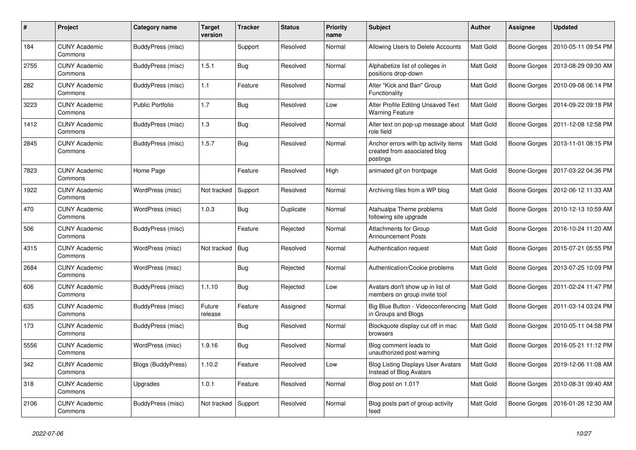| #    | Project                         | Category name           | <b>Target</b><br>version | <b>Tracker</b> | <b>Status</b> | <b>Priority</b><br>name | <b>Subject</b>                                                                   | Author           | Assignee            | <b>Updated</b>      |
|------|---------------------------------|-------------------------|--------------------------|----------------|---------------|-------------------------|----------------------------------------------------------------------------------|------------------|---------------------|---------------------|
| 184  | <b>CUNY Academic</b><br>Commons | BuddyPress (misc)       |                          | Support        | Resolved      | Normal                  | Allowing Users to Delete Accounts                                                | Matt Gold        | Boone Gorges        | 2010-05-11 09:54 PM |
| 2755 | <b>CUNY Academic</b><br>Commons | BuddyPress (misc)       | 1.5.1                    | Bug            | Resolved      | Normal                  | Alphabetize list of colleges in<br>positions drop-down                           | Matt Gold        | <b>Boone Gorges</b> | 2013-08-29 09:30 AM |
| 282  | <b>CUNY Academic</b><br>Commons | BuddyPress (misc)       | 1.1                      | Feature        | Resolved      | Normal                  | Alter "Kick and Ban" Group<br>Functionality                                      | Matt Gold        | Boone Gorges        | 2010-09-08 06:14 PM |
| 3223 | <b>CUNY Academic</b><br>Commons | <b>Public Portfolio</b> | 1.7                      | <b>Bug</b>     | Resolved      | Low                     | Alter Profile Editing Unsaved Text<br><b>Warning Feature</b>                     | Matt Gold        | Boone Gorges        | 2014-09-22 09:18 PM |
| 1412 | <b>CUNY Academic</b><br>Commons | BuddyPress (misc)       | 1.3                      | <b>Bug</b>     | Resolved      | Normal                  | Alter text on pop-up message about<br>role field                                 | <b>Matt Gold</b> | Boone Gorges        | 2011-12-08 12:58 PM |
| 2845 | <b>CUNY Academic</b><br>Commons | BuddyPress (misc)       | 1.5.7                    | Bug            | Resolved      | Normal                  | Anchor errors with bp activity items<br>created from associated blog<br>postings | Matt Gold        | <b>Boone Gorges</b> | 2013-11-01 08:15 PM |
| 7823 | <b>CUNY Academic</b><br>Commons | Home Page               |                          | Feature        | Resolved      | High                    | animated gif on frontpage                                                        | Matt Gold        | Boone Gorges        | 2017-03-22 04:36 PM |
| 1922 | <b>CUNY Academic</b><br>Commons | WordPress (misc)        | Not tracked              | Support        | Resolved      | Normal                  | Archiving files from a WP blog                                                   | Matt Gold        | Boone Gorges        | 2012-06-12 11:33 AM |
| 470  | <b>CUNY Academic</b><br>Commons | WordPress (misc)        | 1.0.3                    | Bug            | Duplicate     | Normal                  | Atahualpa Theme problems<br>following site upgrade                               | Matt Gold        | <b>Boone Gorges</b> | 2010-12-13 10:59 AM |
| 506  | <b>CUNY Academic</b><br>Commons | BuddyPress (misc)       |                          | Feature        | Rejected      | Normal                  | Attachments for Group<br>Announcement Posts                                      | Matt Gold        | Boone Gorges        | 2016-10-24 11:20 AM |
| 4315 | <b>CUNY Academic</b><br>Commons | WordPress (misc)        | Not tracked              | Bug            | Resolved      | Normal                  | Authentication request                                                           | Matt Gold        | Boone Gorges        | 2015-07-21 05:55 PM |
| 2684 | <b>CUNY Academic</b><br>Commons | WordPress (misc)        |                          | <b>Bug</b>     | Rejected      | Normal                  | Authentication/Cookie problems                                                   | Matt Gold        | <b>Boone Gorges</b> | 2013-07-25 10:09 PM |
| 606  | <b>CUNY Academic</b><br>Commons | BuddyPress (misc)       | 1.1.10                   | <b>Bug</b>     | Rejected      | Low                     | Avatars don't show up in list of<br>members on group invite tool                 | Matt Gold        | <b>Boone Gorges</b> | 2011-02-24 11:47 PM |
| 635  | <b>CUNY Academic</b><br>Commons | BuddyPress (misc)       | Future<br>release        | Feature        | Assigned      | Normal                  | Big Blue Button - Videoconferencing<br>in Groups and Blogs                       | Matt Gold        | <b>Boone Gorges</b> | 2011-03-14 03:24 PM |
| 173  | <b>CUNY Academic</b><br>Commons | BuddyPress (misc)       |                          | <b>Bug</b>     | Resolved      | Normal                  | Blockquote display cut off in mac<br>browsers                                    | Matt Gold        | Boone Gorges        | 2010-05-11 04:58 PM |
| 5556 | <b>CUNY Academic</b><br>Commons | WordPress (misc)        | 1.9.16                   | <b>Bug</b>     | Resolved      | Normal                  | Blog comment leads to<br>unauthorized post warning                               | Matt Gold        | Boone Gorges        | 2016-05-21 11:12 PM |
| 342  | CUNY Academic<br>Commons        | Blogs (BuddyPress)      | 1.10.2                   | Feature        | Resolved      | Low                     | <b>Blog Listing Displays User Avatars</b><br>Instead of Blog Avatars             | Matt Gold        | Boone Gorges        | 2019-12-06 11:08 AM |
| 318  | <b>CUNY Academic</b><br>Commons | Upgrades                | 1.0.1                    | Feature        | Resolved      | Normal                  | Blog post on 1.01?                                                               | Matt Gold        | Boone Gorges        | 2010-08-31 09:40 AM |
| 2106 | <b>CUNY Academic</b><br>Commons | BuddyPress (misc)       | Not tracked              | Support        | Resolved      | Normal                  | Blog posts part of group activity<br>feed                                        | Matt Gold        | Boone Gorges        | 2016-01-26 12:30 AM |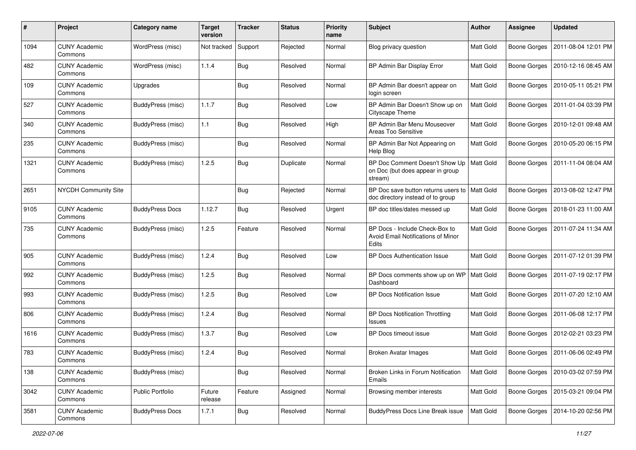| $\#$ | Project                         | <b>Category name</b>     | <b>Target</b><br>version | <b>Tracker</b> | <b>Status</b> | <b>Priority</b><br>name | Subject                                                                       | <b>Author</b>    | <b>Assignee</b>     | <b>Updated</b>      |
|------|---------------------------------|--------------------------|--------------------------|----------------|---------------|-------------------------|-------------------------------------------------------------------------------|------------------|---------------------|---------------------|
| 1094 | <b>CUNY Academic</b><br>Commons | WordPress (misc)         | Not tracked              | Support        | Rejected      | Normal                  | Blog privacy question                                                         | Matt Gold        | <b>Boone Gorges</b> | 2011-08-04 12:01 PM |
| 482  | <b>CUNY Academic</b><br>Commons | WordPress (misc)         | 1.1.4                    | <b>Bug</b>     | Resolved      | Normal                  | BP Admin Bar Display Error                                                    | Matt Gold        | <b>Boone Gorges</b> | 2010-12-16 08:45 AM |
| 109  | <b>CUNY Academic</b><br>Commons | Upgrades                 |                          | <b>Bug</b>     | Resolved      | Normal                  | BP Admin Bar doesn't appear on<br>login screen                                | Matt Gold        | <b>Boone Gorges</b> | 2010-05-11 05:21 PM |
| 527  | <b>CUNY Academic</b><br>Commons | BuddyPress (misc)        | 1.1.7                    | <b>Bug</b>     | Resolved      | Low                     | BP Admin Bar Doesn't Show up on<br>Cityscape Theme                            | <b>Matt Gold</b> | <b>Boone Gorges</b> | 2011-01-04 03:39 PM |
| 340  | <b>CUNY Academic</b><br>Commons | BuddyPress (misc)        | 1.1                      | <b>Bug</b>     | Resolved      | High                    | BP Admin Bar Menu Mouseover<br>Areas Too Sensitive                            | Matt Gold        | Boone Gorges        | 2010-12-01 09:48 AM |
| 235  | <b>CUNY Academic</b><br>Commons | <b>BuddyPress</b> (misc) |                          | <b>Bug</b>     | Resolved      | Normal                  | BP Admin Bar Not Appearing on<br>Help Blog                                    | Matt Gold        | <b>Boone Gorges</b> | 2010-05-20 06:15 PM |
| 1321 | <b>CUNY Academic</b><br>Commons | BuddyPress (misc)        | 1.2.5                    | Bug            | Duplicate     | Normal                  | BP Doc Comment Doesn't Show Up<br>on Doc (but does appear in group<br>stream) | <b>Matt Gold</b> | Boone Gorges        | 2011-11-04 08:04 AM |
| 2651 | <b>NYCDH Community Site</b>     |                          |                          | <b>Bug</b>     | Rejected      | Normal                  | BP Doc save button returns users to<br>doc directory instead of to group      | <b>Matt Gold</b> | Boone Gorges        | 2013-08-02 12:47 PM |
| 9105 | <b>CUNY Academic</b><br>Commons | <b>BuddyPress Docs</b>   | 1.12.7                   | Bug            | Resolved      | Urgent                  | BP doc titles/dates messed up                                                 | Matt Gold        | Boone Gorges        | 2018-01-23 11:00 AM |
| 735  | <b>CUNY Academic</b><br>Commons | BuddyPress (misc)        | 1.2.5                    | Feature        | Resolved      | Normal                  | BP Docs - Include Check-Box to<br>Avoid Email Notifications of Minor<br>Edits | Matt Gold        | <b>Boone Gorges</b> | 2011-07-24 11:34 AM |
| 905  | <b>CUNY Academic</b><br>Commons | BuddyPress (misc)        | 1.2.4                    | <b>Bug</b>     | Resolved      | Low                     | <b>BP Docs Authentication Issue</b>                                           | Matt Gold        | <b>Boone Gorges</b> | 2011-07-12 01:39 PM |
| 992  | <b>CUNY Academic</b><br>Commons | BuddyPress (misc)        | 1.2.5                    | <b>Bug</b>     | Resolved      | Normal                  | BP Docs comments show up on WP<br>Dashboard                                   | Matt Gold        | <b>Boone Gorges</b> | 2011-07-19 02:17 PM |
| 993  | <b>CUNY Academic</b><br>Commons | BuddyPress (misc)        | 1.2.5                    | Bug            | Resolved      | Low                     | <b>BP Docs Notification Issue</b>                                             | Matt Gold        | <b>Boone Gorges</b> | 2011-07-20 12:10 AM |
| 806  | <b>CUNY Academic</b><br>Commons | BuddyPress (misc)        | 1.2.4                    | <b>Bug</b>     | Resolved      | Normal                  | <b>BP Docs Notification Throttling</b><br>Issues                              | Matt Gold        | Boone Gorges        | 2011-06-08 12:17 PM |
| 1616 | <b>CUNY Academic</b><br>Commons | BuddyPress (misc)        | 1.3.7                    | <b>Bug</b>     | Resolved      | Low                     | BP Docs timeout issue                                                         | Matt Gold        | <b>Boone Gorges</b> | 2012-02-21 03:23 PM |
| 783  | <b>CUNY Academic</b><br>Commons | BuddyPress (misc)        | 1.2.4                    | Bug            | Resolved      | Normal                  | Broken Avatar Images                                                          | Matt Gold        | Boone Gorges        | 2011-06-06 02:49 PM |
| 138  | <b>CUNY Academic</b><br>Commons | BuddyPress (misc)        |                          | Bug            | Resolved      | Normal                  | Broken Links in Forum Notification<br>Emails                                  | Matt Gold        | Boone Gorges        | 2010-03-02 07:59 PM |
| 3042 | <b>CUNY Academic</b><br>Commons | <b>Public Portfolio</b>  | Future<br>release        | Feature        | Assigned      | Normal                  | Browsing member interests                                                     | Matt Gold        | Boone Gorges        | 2015-03-21 09:04 PM |
| 3581 | <b>CUNY Academic</b><br>Commons | <b>BuddyPress Docs</b>   | 1.7.1                    | Bug            | Resolved      | Normal                  | BuddyPress Docs Line Break issue                                              | Matt Gold        | Boone Gorges        | 2014-10-20 02:56 PM |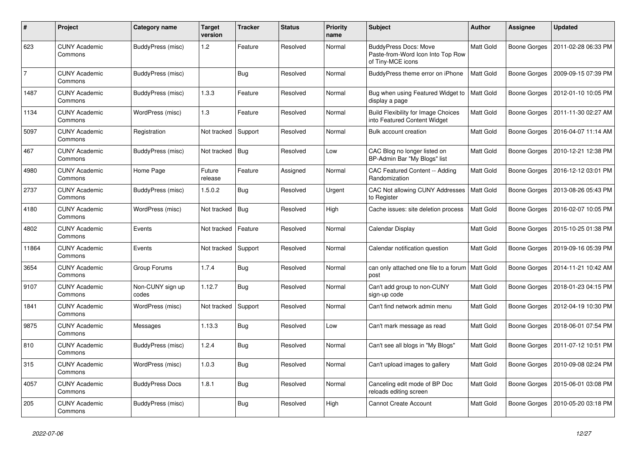| $\#$           | Project                         | Category name             | <b>Target</b><br>version | <b>Tracker</b> | <b>Status</b> | <b>Priority</b><br>name | <b>Subject</b>                                                                         | <b>Author</b>    | <b>Assignee</b> | <b>Updated</b>      |
|----------------|---------------------------------|---------------------------|--------------------------|----------------|---------------|-------------------------|----------------------------------------------------------------------------------------|------------------|-----------------|---------------------|
| 623            | <b>CUNY Academic</b><br>Commons | BuddyPress (misc)         | 1.2                      | Feature        | Resolved      | Normal                  | <b>BuddyPress Docs: Move</b><br>Paste-from-Word Icon Into Top Row<br>of Tiny-MCE icons | Matt Gold        | Boone Gorges    | 2011-02-28 06:33 PM |
| $\overline{7}$ | <b>CUNY Academic</b><br>Commons | BuddyPress (misc)         |                          | Bug            | Resolved      | Normal                  | BuddyPress theme error on iPhone                                                       | <b>Matt Gold</b> | Boone Gorges    | 2009-09-15 07:39 PM |
| 1487           | <b>CUNY Academic</b><br>Commons | BuddyPress (misc)         | 1.3.3                    | Feature        | Resolved      | Normal                  | Bug when using Featured Widget to<br>display a page                                    | <b>Matt Gold</b> | Boone Gorges    | 2012-01-10 10:05 PM |
| 1134           | <b>CUNY Academic</b><br>Commons | WordPress (misc)          | 1.3                      | Feature        | Resolved      | Normal                  | <b>Build Flexibility for Image Choices</b><br>into Featured Content Widget             | Matt Gold        | Boone Gorges    | 2011-11-30 02:27 AM |
| 5097           | <b>CUNY Academic</b><br>Commons | Registration              | Not tracked              | Support        | Resolved      | Normal                  | Bulk account creation                                                                  | Matt Gold        | Boone Gorges    | 2016-04-07 11:14 AM |
| 467            | <b>CUNY Academic</b><br>Commons | BuddyPress (misc)         | Not tracked              | Bug            | Resolved      | Low                     | CAC Blog no longer listed on<br>BP-Admin Bar "My Blogs" list                           | Matt Gold        | Boone Gorges    | 2010-12-21 12:38 PM |
| 4980           | <b>CUNY Academic</b><br>Commons | Home Page                 | Future<br>release        | Feature        | Assigned      | Normal                  | <b>CAC Featured Content -- Adding</b><br>Randomization                                 | Matt Gold        | Boone Gorges    | 2016-12-12 03:01 PM |
| 2737           | <b>CUNY Academic</b><br>Commons | BuddyPress (misc)         | 1.5.0.2                  | <b>Bug</b>     | Resolved      | Urgent                  | CAC Not allowing CUNY Addresses<br>to Register                                         | Matt Gold        | Boone Gorges    | 2013-08-26 05:43 PM |
| 4180           | <b>CUNY Academic</b><br>Commons | WordPress (misc)          | Not tracked              | <b>Bug</b>     | Resolved      | High                    | Cache issues: site deletion process                                                    | <b>Matt Gold</b> | Boone Gorges    | 2016-02-07 10:05 PM |
| 4802           | <b>CUNY Academic</b><br>Commons | Events                    | Not tracked              | Feature        | Resolved      | Normal                  | Calendar Display                                                                       | Matt Gold        | Boone Gorges    | 2015-10-25 01:38 PM |
| 11864          | <b>CUNY Academic</b><br>Commons | Events                    | Not tracked              | Support        | Resolved      | Normal                  | Calendar notification question                                                         | Matt Gold        | Boone Gorges    | 2019-09-16 05:39 PM |
| 3654           | <b>CUNY Academic</b><br>Commons | Group Forums              | 1.7.4                    | <b>Bug</b>     | Resolved      | Normal                  | can only attached one file to a forum<br>post                                          | <b>Matt Gold</b> | Boone Gorges    | 2014-11-21 10:42 AM |
| 9107           | <b>CUNY Academic</b><br>Commons | Non-CUNY sign up<br>codes | 1.12.7                   | <b>Bug</b>     | Resolved      | Normal                  | Can't add group to non-CUNY<br>sign-up code                                            | Matt Gold        | Boone Gorges    | 2018-01-23 04:15 PM |
| 1841           | <b>CUNY Academic</b><br>Commons | WordPress (misc)          | Not tracked              | Support        | Resolved      | Normal                  | Can't find network admin menu                                                          | Matt Gold        | Boone Gorges    | 2012-04-19 10:30 PM |
| 9875           | <b>CUNY Academic</b><br>Commons | Messages                  | 1.13.3                   | <b>Bug</b>     | Resolved      | Low                     | Can't mark message as read                                                             | Matt Gold        | Boone Gorges    | 2018-06-01 07:54 PM |
| 810            | <b>CUNY Academic</b><br>Commons | BuddyPress (misc)         | 1.2.4                    | <b>Bug</b>     | Resolved      | Normal                  | Can't see all blogs in "My Blogs"                                                      | Matt Gold        | Boone Gorges    | 2011-07-12 10:51 PM |
| 315            | <b>CUNY Academic</b><br>Commons | WordPress (misc)          | 1.0.3                    | <b>Bug</b>     | Resolved      | Normal                  | Can't upload images to gallery                                                         | Matt Gold        | Boone Gorges    | 2010-09-08 02:24 PM |
| 4057           | <b>CUNY Academic</b><br>Commons | <b>BuddyPress Docs</b>    | 1.8.1                    | <b>Bug</b>     | Resolved      | Normal                  | Canceling edit mode of BP Doc<br>reloads editing screen                                | Matt Gold        | Boone Gorges    | 2015-06-01 03:08 PM |
| 205            | <b>CUNY Academic</b><br>Commons | BuddyPress (misc)         |                          | <b>Bug</b>     | Resolved      | High                    | <b>Cannot Create Account</b>                                                           | Matt Gold        | Boone Gorges    | 2010-05-20 03:18 PM |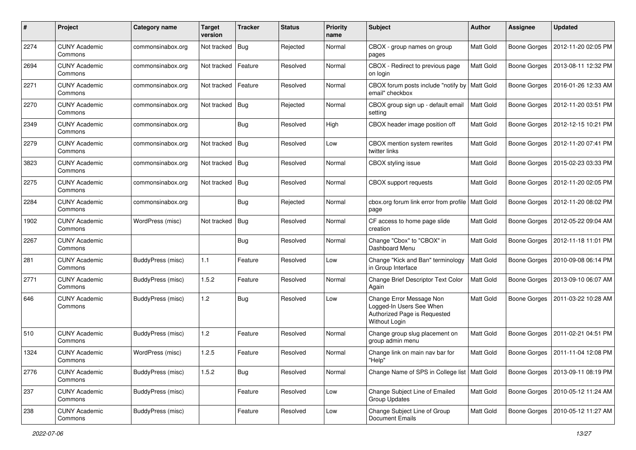| #    | Project                         | Category name            | <b>Target</b><br>version | <b>Tracker</b> | <b>Status</b> | <b>Priority</b><br>name | Subject                                                                                                      | <b>Author</b> | <b>Assignee</b>     | <b>Updated</b>      |
|------|---------------------------------|--------------------------|--------------------------|----------------|---------------|-------------------------|--------------------------------------------------------------------------------------------------------------|---------------|---------------------|---------------------|
| 2274 | <b>CUNY Academic</b><br>Commons | commonsinabox.org        | Not tracked              | Bug            | Rejected      | Normal                  | CBOX - group names on group<br>pages                                                                         | Matt Gold     | <b>Boone Gorges</b> | 2012-11-20 02:05 PM |
| 2694 | <b>CUNY Academic</b><br>Commons | commonsinabox.org        | Not tracked              | Feature        | Resolved      | Normal                  | CBOX - Redirect to previous page<br>on login                                                                 | Matt Gold     | <b>Boone Gorges</b> | 2013-08-11 12:32 PM |
| 2271 | CUNY Academic<br>Commons        | commonsinabox.org        | Not tracked              | Feature        | Resolved      | Normal                  | CBOX forum posts include "notify by<br>email" checkbox                                                       | Matt Gold     | Boone Gorges        | 2016-01-26 12:33 AM |
| 2270 | <b>CUNY Academic</b><br>Commons | commonsinabox.org        | Not tracked              | Bug            | Rejected      | Normal                  | CBOX group sign up - default email<br>setting                                                                | Matt Gold     | <b>Boone Gorges</b> | 2012-11-20 03:51 PM |
| 2349 | <b>CUNY Academic</b><br>Commons | commonsinabox.org        |                          | Bug            | Resolved      | High                    | CBOX header image position off                                                                               | Matt Gold     | Boone Gorges        | 2012-12-15 10:21 PM |
| 2279 | <b>CUNY Academic</b><br>Commons | commonsinabox.org        | Not tracked              | Bug            | Resolved      | Low                     | CBOX mention system rewrites<br>twitter links                                                                | Matt Gold     | Boone Gorges        | 2012-11-20 07:41 PM |
| 3823 | <b>CUNY Academic</b><br>Commons | commonsinabox.org        | Not tracked   Bug        |                | Resolved      | Normal                  | CBOX styling issue                                                                                           | Matt Gold     | <b>Boone Gorges</b> | 2015-02-23 03:33 PM |
| 2275 | <b>CUNY Academic</b><br>Commons | commonsinabox.org        | Not tracked              | <b>Bug</b>     | Resolved      | Normal                  | CBOX support requests                                                                                        | Matt Gold     | Boone Gorges        | 2012-11-20 02:05 PM |
| 2284 | <b>CUNY Academic</b><br>Commons | commonsinabox.org        |                          | Bug            | Rejected      | Normal                  | cbox.org forum link error from profile<br>page                                                               | Matt Gold     | <b>Boone Gorges</b> | 2012-11-20 08:02 PM |
| 1902 | CUNY Academic<br>Commons        | WordPress (misc)         | Not tracked              | Bug            | Resolved      | Normal                  | CF access to home page slide<br>creation                                                                     | Matt Gold     | Boone Gorges        | 2012-05-22 09:04 AM |
| 2267 | <b>CUNY Academic</b><br>Commons |                          |                          | i Bug          | Resolved      | Normal                  | Change "Cbox" to "CBOX" in<br>Dashboard Menu                                                                 | Matt Gold     | Boone Gorges        | 2012-11-18 11:01 PM |
| 281  | <b>CUNY Academic</b><br>Commons | BuddyPress (misc)        | 1.1                      | Feature        | Resolved      | Low                     | Change "Kick and Ban" terminology<br>in Group Interface                                                      | Matt Gold     | Boone Gorges        | 2010-09-08 06:14 PM |
| 2771 | <b>CUNY Academic</b><br>Commons | BuddyPress (misc)        | 1.5.2                    | Feature        | Resolved      | Normal                  | Change Brief Descriptor Text Color<br>Again                                                                  | Matt Gold     | <b>Boone Gorges</b> | 2013-09-10 06:07 AM |
| 646  | <b>CUNY Academic</b><br>Commons | BuddyPress (misc)        | 1.2                      | Bug            | Resolved      | Low                     | Change Error Message Non<br>Logged-In Users See When<br>Authorized Page is Requested<br><b>Without Login</b> | Matt Gold     | Boone Gorges        | 2011-03-22 10:28 AM |
| 510  | <b>CUNY Academic</b><br>Commons | BuddyPress (misc)        | 1.2                      | Feature        | Resolved      | Normal                  | Change group slug placement on<br>group admin menu                                                           | Matt Gold     | <b>Boone Gorges</b> | 2011-02-21 04:51 PM |
| 1324 | <b>CUNY Academic</b><br>Commons | WordPress (misc)         | 1.2.5                    | Feature        | Resolved      | Normal                  | Change link on main nav bar for<br>"Help"                                                                    | Matt Gold     | Boone Gorges        | 2011-11-04 12:08 PM |
| 2776 | <b>CUNY Academic</b><br>Commons | BuddyPress (misc)        | 1.5.2                    | Bug            | Resolved      | Normal                  | Change Name of SPS in College list                                                                           | Matt Gold     | <b>Boone Gorges</b> | 2013-09-11 08:19 PM |
| 237  | <b>CUNY Academic</b><br>Commons | BuddyPress (misc)        |                          | Feature        | Resolved      | Low                     | Change Subject Line of Emailed<br><b>Group Updates</b>                                                       | Matt Gold     | <b>Boone Gorges</b> | 2010-05-12 11:24 AM |
| 238  | <b>CUNY Academic</b><br>Commons | <b>BuddyPress (misc)</b> |                          | Feature        | Resolved      | Low                     | Change Subject Line of Group<br>Document Emails                                                              | Matt Gold     | <b>Boone Gorges</b> | 2010-05-12 11:27 AM |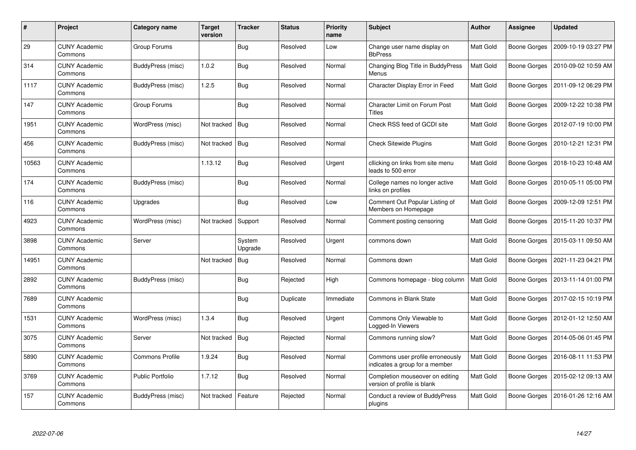| #     | Project                         | Category name           | <b>Target</b><br>version | <b>Tracker</b>    | <b>Status</b> | <b>Priority</b><br>name | <b>Subject</b>                                                     | <b>Author</b> | <b>Assignee</b> | <b>Updated</b>      |
|-------|---------------------------------|-------------------------|--------------------------|-------------------|---------------|-------------------------|--------------------------------------------------------------------|---------------|-----------------|---------------------|
| 29    | <b>CUNY Academic</b><br>Commons | Group Forums            |                          | <b>Bug</b>        | Resolved      | Low                     | Change user name display on<br><b>BbPress</b>                      | Matt Gold     | Boone Gorges    | 2009-10-19 03:27 PM |
| 314   | <b>CUNY Academic</b><br>Commons | BuddyPress (misc)       | 1.0.2                    | Bug               | Resolved      | Normal                  | Changing Blog Title in BuddyPress<br>Menus                         | Matt Gold     | Boone Gorges    | 2010-09-02 10:59 AM |
| 1117  | <b>CUNY Academic</b><br>Commons | BuddyPress (misc)       | 1.2.5                    | <b>Bug</b>        | Resolved      | Normal                  | Character Display Error in Feed                                    | Matt Gold     | Boone Gorges    | 2011-09-12 06:29 PM |
| 147   | <b>CUNY Academic</b><br>Commons | Group Forums            |                          | <b>Bug</b>        | Resolved      | Normal                  | <b>Character Limit on Forum Post</b><br><b>Titles</b>              | Matt Gold     | Boone Gorges    | 2009-12-22 10:38 PM |
| 1951  | <b>CUNY Academic</b><br>Commons | WordPress (misc)        | Not tracked              | Bug               | Resolved      | Normal                  | Check RSS feed of GCDI site                                        | Matt Gold     | Boone Gorges    | 2012-07-19 10:00 PM |
| 456   | <b>CUNY Academic</b><br>Commons | BuddyPress (misc)       | Not tracked              | Bug               | Resolved      | Normal                  | <b>Check Sitewide Plugins</b>                                      | Matt Gold     | Boone Gorges    | 2010-12-21 12:31 PM |
| 10563 | <b>CUNY Academic</b><br>Commons |                         | 1.13.12                  | <b>Bug</b>        | Resolved      | Urgent                  | cllicking on links from site menu<br>leads to 500 error            | Matt Gold     | Boone Gorges    | 2018-10-23 10:48 AM |
| 174   | <b>CUNY Academic</b><br>Commons | BuddyPress (misc)       |                          | Bug               | Resolved      | Normal                  | College names no longer active<br>links on profiles                | Matt Gold     | Boone Gorges    | 2010-05-11 05:00 PM |
| 116   | <b>CUNY Academic</b><br>Commons | Upgrades                |                          | Bug               | Resolved      | Low                     | Comment Out Popular Listing of<br>Members on Homepage              | Matt Gold     | Boone Gorges    | 2009-12-09 12:51 PM |
| 4923  | <b>CUNY Academic</b><br>Commons | WordPress (misc)        | Not tracked              | Support           | Resolved      | Normal                  | Comment posting censoring                                          | Matt Gold     | Boone Gorges    | 2015-11-20 10:37 PM |
| 3898  | <b>CUNY Academic</b><br>Commons | Server                  |                          | System<br>Upgrade | Resolved      | Urgent                  | commons down                                                       | Matt Gold     | Boone Gorges    | 2015-03-11 09:50 AM |
| 14951 | <b>CUNY Academic</b><br>Commons |                         | Not tracked              | Bug               | Resolved      | Normal                  | Commons down                                                       | Matt Gold     | Boone Gorges    | 2021-11-23 04:21 PM |
| 2892  | <b>CUNY Academic</b><br>Commons | BuddyPress (misc)       |                          | Bug               | Rejected      | High                    | Commons homepage - blog column                                     | Matt Gold     | Boone Gorges    | 2013-11-14 01:00 PM |
| 7689  | <b>CUNY Academic</b><br>Commons |                         |                          | Bug               | Duplicate     | Immediate               | <b>Commons in Blank State</b>                                      | Matt Gold     | Boone Gorges    | 2017-02-15 10:19 PM |
| 1531  | <b>CUNY Academic</b><br>Commons | WordPress (misc)        | 1.3.4                    | <b>Bug</b>        | Resolved      | Urgent                  | Commons Only Viewable to<br>Logged-In Viewers                      | Matt Gold     | Boone Gorges    | 2012-01-12 12:50 AM |
| 3075  | <b>CUNY Academic</b><br>Commons | Server                  | Not tracked              | Bug               | Rejected      | Normal                  | Commons running slow?                                              | Matt Gold     | Boone Gorges    | 2014-05-06 01:45 PM |
| 5890  | <b>CUNY Academic</b><br>Commons | <b>Commons Profile</b>  | 1.9.24                   | <b>Bug</b>        | Resolved      | Normal                  | Commons user profile erroneously<br>indicates a group for a member | Matt Gold     | Boone Gorges    | 2016-08-11 11:53 PM |
| 3769  | <b>CUNY Academic</b><br>Commons | <b>Public Portfolio</b> | 1.7.12                   | <b>Bug</b>        | Resolved      | Normal                  | Completion mouseover on editing<br>version of profile is blank     | Matt Gold     | Boone Gorges    | 2015-02-12 09:13 AM |
| 157   | <b>CUNY Academic</b><br>Commons | BuddyPress (misc)       | Not tracked              | Feature           | Rejected      | Normal                  | Conduct a review of BuddyPress<br>plugins                          | Matt Gold     | Boone Gorges    | 2016-01-26 12:16 AM |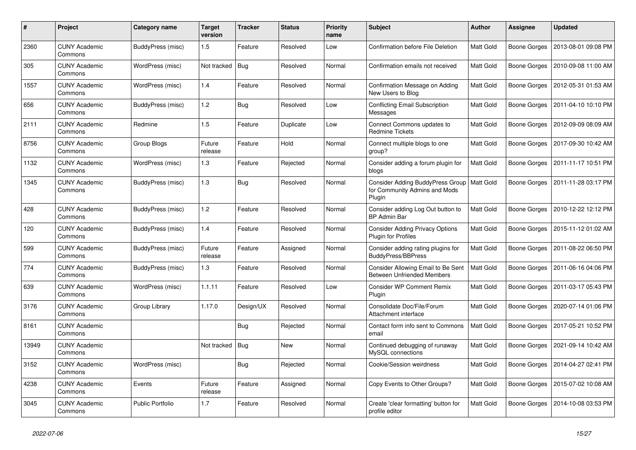| $\pmb{\#}$ | Project                         | Category name           | <b>Target</b><br>version | <b>Tracker</b> | <b>Status</b> | <b>Priority</b><br>name | Subject                                                                     | Author           | <b>Assignee</b>     | <b>Updated</b>      |
|------------|---------------------------------|-------------------------|--------------------------|----------------|---------------|-------------------------|-----------------------------------------------------------------------------|------------------|---------------------|---------------------|
| 2360       | <b>CUNY Academic</b><br>Commons | BuddyPress (misc)       | 1.5                      | Feature        | Resolved      | Low                     | Confirmation before File Deletion                                           | <b>Matt Gold</b> | Boone Gorges        | 2013-08-01 09:08 PM |
| 305        | <b>CUNY Academic</b><br>Commons | WordPress (misc)        | Not tracked              | Bug            | Resolved      | Normal                  | Confirmation emails not received                                            | Matt Gold        | Boone Gorges        | 2010-09-08 11:00 AM |
| 1557       | <b>CUNY Academic</b><br>Commons | WordPress (misc)        | 1.4                      | Feature        | Resolved      | Normal                  | Confirmation Message on Adding<br>New Users to Blog                         | Matt Gold        | Boone Gorges        | 2012-05-31 01:53 AM |
| 656        | <b>CUNY Academic</b><br>Commons | BuddyPress (misc)       | 1.2                      | <b>Bug</b>     | Resolved      | Low                     | Conflicting Email Subscription<br>Messages                                  | <b>Matt Gold</b> | <b>Boone Gorges</b> | 2011-04-10 10:10 PM |
| 2111       | <b>CUNY Academic</b><br>Commons | Redmine                 | 1.5                      | Feature        | Duplicate     | Low                     | Connect Commons updates to<br><b>Redmine Tickets</b>                        | Matt Gold        | Boone Gorges        | 2012-09-09 08:09 AM |
| 8756       | <b>CUNY Academic</b><br>Commons | Group Blogs             | Future<br>release        | Feature        | Hold          | Normal                  | Connect multiple blogs to one<br>group?                                     | Matt Gold        | Boone Gorges        | 2017-09-30 10:42 AM |
| 1132       | <b>CUNY Academic</b><br>Commons | WordPress (misc)        | 1.3                      | Feature        | Rejected      | Normal                  | Consider adding a forum plugin for<br>blogs                                 | Matt Gold        | Boone Gorges        | 2011-11-17 10:51 PM |
| 1345       | <b>CUNY Academic</b><br>Commons | BuddyPress (misc)       | 1.3                      | <b>Bug</b>     | Resolved      | Normal                  | Consider Adding BuddyPress Group<br>for Community Admins and Mods<br>Plugin | Matt Gold        | Boone Gorges        | 2011-11-28 03:17 PM |
| 428        | <b>CUNY Academic</b><br>Commons | BuddyPress (misc)       | 1.2                      | Feature        | Resolved      | Normal                  | Consider adding Log Out button to<br><b>BP Admin Bar</b>                    | Matt Gold        | Boone Gorges        | 2010-12-22 12:12 PM |
| 120        | <b>CUNY Academic</b><br>Commons | BuddyPress (misc)       | 1.4                      | Feature        | Resolved      | Normal                  | <b>Consider Adding Privacy Options</b><br><b>Plugin for Profiles</b>        | Matt Gold        | <b>Boone Gorges</b> | 2015-11-12 01:02 AM |
| 599        | <b>CUNY Academic</b><br>Commons | BuddyPress (misc)       | Future<br>release        | Feature        | Assigned      | Normal                  | Consider adding rating plugins for<br><b>BuddyPress/BBPress</b>             | Matt Gold        | Boone Gorges        | 2011-08-22 06:50 PM |
| 774        | <b>CUNY Academic</b><br>Commons | BuddyPress (misc)       | 1.3                      | Feature        | Resolved      | Normal                  | Consider Allowing Email to Be Sent<br><b>Between Unfriended Members</b>     | <b>Matt Gold</b> | Boone Gorges        | 2011-06-16 04:06 PM |
| 639        | <b>CUNY Academic</b><br>Commons | WordPress (misc)        | 1.1.11                   | Feature        | Resolved      | Low                     | <b>Consider WP Comment Remix</b><br>Plugin                                  | Matt Gold        | Boone Gorges        | 2011-03-17 05:43 PM |
| 3176       | <b>CUNY Academic</b><br>Commons | Group Library           | 1.17.0                   | Design/UX      | Resolved      | Normal                  | Consolidate Doc/File/Forum<br>Attachment interface                          | Matt Gold        | Boone Gorges        | 2020-07-14 01:06 PM |
| 8161       | <b>CUNY Academic</b><br>Commons |                         |                          | <b>Bug</b>     | Rejected      | Normal                  | Contact form info sent to Commons<br>email                                  | Matt Gold        | <b>Boone Gorges</b> | 2017-05-21 10:52 PM |
| 13949      | <b>CUNY Academic</b><br>Commons |                         | Not tracked              | Bug            | New           | Normal                  | Continued debugging of runaway<br>MySQL connections                         | Matt Gold        | Boone Gorges        | 2021-09-14 10:42 AM |
| 3152       | <b>CUNY Academic</b><br>Commons | WordPress (misc)        |                          | <b>Bug</b>     | Rejected      | Normal                  | Cookie/Session weirdness                                                    | Matt Gold        | Boone Gorges        | 2014-04-27 02:41 PM |
| 4238       | <b>CUNY Academic</b><br>Commons | Events                  | Future<br>release        | Feature        | Assigned      | Normal                  | Copy Events to Other Groups?                                                | Matt Gold        | Boone Gorges        | 2015-07-02 10:08 AM |
| 3045       | <b>CUNY Academic</b><br>Commons | <b>Public Portfolio</b> | 1.7                      | Feature        | Resolved      | Normal                  | Create 'clear formatting' button for<br>profile editor                      | Matt Gold        | Boone Gorges        | 2014-10-08 03:53 PM |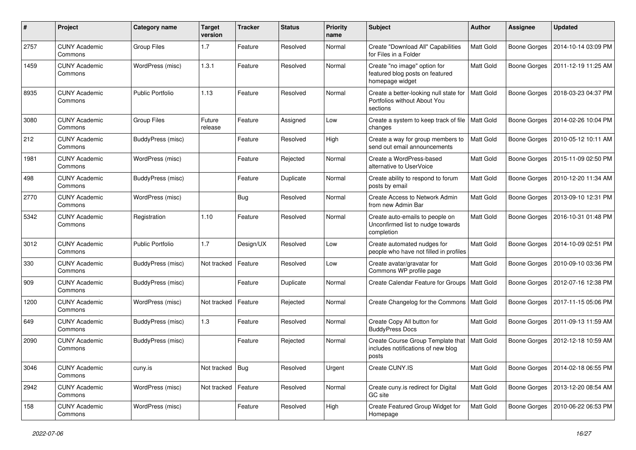| #    | Project                         | <b>Category name</b>    | <b>Target</b><br>version | <b>Tracker</b> | <b>Status</b> | <b>Priority</b><br>name | Subject                                                                            | <b>Author</b>    | Assignee            | <b>Updated</b>      |
|------|---------------------------------|-------------------------|--------------------------|----------------|---------------|-------------------------|------------------------------------------------------------------------------------|------------------|---------------------|---------------------|
| 2757 | <b>CUNY Academic</b><br>Commons | <b>Group Files</b>      | 1.7                      | Feature        | Resolved      | Normal                  | Create "Download All" Capabilities<br>for Files in a Folder                        | Matt Gold        | <b>Boone Gorges</b> | 2014-10-14 03:09 PM |
| 1459 | <b>CUNY Academic</b><br>Commons | WordPress (misc)        | 1.3.1                    | Feature        | Resolved      | Normal                  | Create "no image" option for<br>featured blog posts on featured<br>homepage widget | Matt Gold        | <b>Boone Gorges</b> | 2011-12-19 11:25 AM |
| 8935 | <b>CUNY Academic</b><br>Commons | <b>Public Portfolio</b> | 1.13                     | Feature        | Resolved      | Normal                  | Create a better-looking null state for<br>Portfolios without About You<br>sections | Matt Gold        | <b>Boone Gorges</b> | 2018-03-23 04:37 PM |
| 3080 | <b>CUNY Academic</b><br>Commons | Group Files             | Future<br>release        | Feature        | Assigned      | Low                     | Create a system to keep track of file   Matt Gold<br>changes                       |                  | Boone Gorges        | 2014-02-26 10:04 PM |
| 212  | <b>CUNY Academic</b><br>Commons | BuddyPress (misc)       |                          | Feature        | Resolved      | High                    | Create a way for group members to<br>send out email announcements                  | Matt Gold        | <b>Boone Gorges</b> | 2010-05-12 10:11 AM |
| 1981 | <b>CUNY Academic</b><br>Commons | WordPress (misc)        |                          | Feature        | Rejected      | Normal                  | Create a WordPress-based<br>alternative to UserVoice                               | <b>Matt Gold</b> | <b>Boone Gorges</b> | 2015-11-09 02:50 PM |
| 498  | <b>CUNY Academic</b><br>Commons | BuddyPress (misc)       |                          | Feature        | Duplicate     | Normal                  | Create ability to respond to forum<br>posts by email                               | Matt Gold        | Boone Gorges        | 2010-12-20 11:34 AM |
| 2770 | <b>CUNY Academic</b><br>Commons | WordPress (misc)        |                          | Bug            | Resolved      | Normal                  | Create Access to Network Admin<br>from new Admin Bar                               | Matt Gold        | <b>Boone Gorges</b> | 2013-09-10 12:31 PM |
| 5342 | <b>CUNY Academic</b><br>Commons | Registration            | 1.10                     | Feature        | Resolved      | Normal                  | Create auto-emails to people on<br>Unconfirmed list to nudge towards<br>completion | Matt Gold        | Boone Gorges        | 2016-10-31 01:48 PM |
| 3012 | <b>CUNY Academic</b><br>Commons | <b>Public Portfolio</b> | 1.7                      | Design/UX      | Resolved      | Low                     | Create automated nudges for<br>people who have not filled in profiles              | Matt Gold        | Boone Gorges        | 2014-10-09 02:51 PM |
| 330  | <b>CUNY Academic</b><br>Commons | BuddyPress (misc)       | Not tracked              | Feature        | Resolved      | Low                     | Create avatar/gravatar for<br>Commons WP profile page                              | <b>Matt Gold</b> | Boone Gorges        | 2010-09-10 03:36 PM |
| 909  | <b>CUNY Academic</b><br>Commons | BuddyPress (misc)       |                          | Feature        | Duplicate     | Normal                  | Create Calendar Feature for Groups                                                 | Matt Gold        | Boone Gorges        | 2012-07-16 12:38 PM |
| 1200 | <b>CUNY Academic</b><br>Commons | WordPress (misc)        | Not tracked              | Feature        | Rejected      | Normal                  | Create Changelog for the Commons                                                   | Matt Gold        | <b>Boone Gorges</b> | 2017-11-15 05:06 PM |
| 649  | <b>CUNY Academic</b><br>Commons | BuddyPress (misc)       | 1.3                      | Feature        | Resolved      | Normal                  | Create Copy All button for<br><b>BuddyPress Docs</b>                               | Matt Gold        | Boone Gorges        | 2011-09-13 11:59 AM |
| 2090 | <b>CUNY Academic</b><br>Commons | BuddyPress (misc)       |                          | Feature        | Rejected      | Normal                  | Create Course Group Template that<br>includes notifications of new blog<br>posts   | Matt Gold        | Boone Gorges        | 2012-12-18 10:59 AM |
| 3046 | <b>CUNY Academic</b><br>Commons | cuny.is                 | Not tracked   Bug        |                | Resolved      | Urgent                  | Create CUNY.IS                                                                     | Matt Gold        | Boone Gorges        | 2014-02-18 06:55 PM |
| 2942 | <b>CUNY Academic</b><br>Commons | WordPress (misc)        | Not tracked              | Feature        | Resolved      | Normal                  | Create cuny.is redirect for Digital<br>GC site                                     | Matt Gold        | Boone Gorges        | 2013-12-20 08:54 AM |
| 158  | <b>CUNY Academic</b><br>Commons | WordPress (misc)        |                          | Feature        | Resolved      | High                    | Create Featured Group Widget for<br>Homepage                                       | Matt Gold        | Boone Gorges        | 2010-06-22 06:53 PM |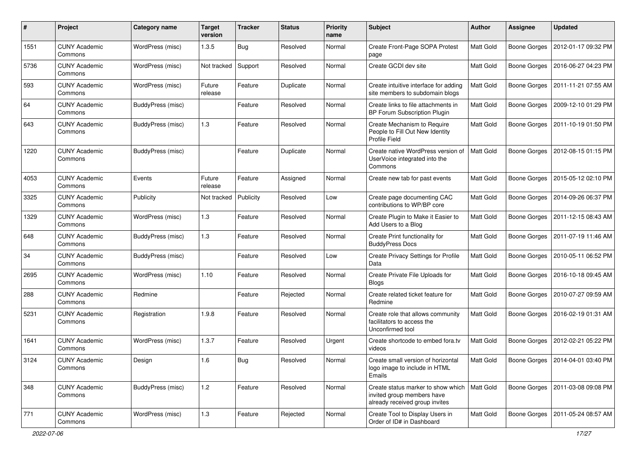| #    | Project                         | <b>Category name</b> | <b>Target</b><br>version | <b>Tracker</b> | <b>Status</b> | <b>Priority</b><br>name | Subject                                                                                            | <b>Author</b>    | Assignee            | <b>Updated</b>                   |
|------|---------------------------------|----------------------|--------------------------|----------------|---------------|-------------------------|----------------------------------------------------------------------------------------------------|------------------|---------------------|----------------------------------|
| 1551 | <b>CUNY Academic</b><br>Commons | WordPress (misc)     | 1.3.5                    | Bug            | Resolved      | Normal                  | Create Front-Page SOPA Protest<br>page                                                             | Matt Gold        | <b>Boone Gorges</b> | 2012-01-17 09:32 PM              |
| 5736 | <b>CUNY Academic</b><br>Commons | WordPress (misc)     | Not tracked              | Support        | Resolved      | Normal                  | Create GCDI dev site                                                                               | Matt Gold        | <b>Boone Gorges</b> | 2016-06-27 04:23 PM              |
| 593  | <b>CUNY Academic</b><br>Commons | WordPress (misc)     | Future<br>release        | Feature        | Duplicate     | Normal                  | Create intuitive interface for adding<br>site members to subdomain blogs                           | Matt Gold        | <b>Boone Gorges</b> | 2011-11-21 07:55 AM              |
| 64   | <b>CUNY Academic</b><br>Commons | BuddyPress (misc)    |                          | Feature        | Resolved      | Normal                  | Create links to file attachments in<br>BP Forum Subscription Plugin                                | Matt Gold        | <b>Boone Gorges</b> | 2009-12-10 01:29 PM              |
| 643  | <b>CUNY Academic</b><br>Commons | BuddyPress (misc)    | 1.3                      | Feature        | Resolved      | Normal                  | Create Mechanism to Require<br>People to Fill Out New Identity<br>Profile Field                    | Matt Gold        | <b>Boone Gorges</b> | 2011-10-19 01:50 PM              |
| 1220 | <b>CUNY Academic</b><br>Commons | BuddyPress (misc)    |                          | Feature        | Duplicate     | Normal                  | Create native WordPress version of<br>UserVoice integrated into the<br>Commons                     | Matt Gold        | <b>Boone Gorges</b> | 2012-08-15 01:15 PM              |
| 4053 | <b>CUNY Academic</b><br>Commons | Events               | Future<br>release        | Feature        | Assigned      | Normal                  | Create new tab for past events                                                                     | Matt Gold        | Boone Gorges        | 2015-05-12 02:10 PM              |
| 3325 | <b>CUNY Academic</b><br>Commons | Publicity            | Not tracked              | Publicity      | Resolved      | Low                     | Create page documenting CAC<br>contributions to WP/BP core                                         | Matt Gold        | Boone Gorges        | 2014-09-26 06:37 PM              |
| 1329 | <b>CUNY Academic</b><br>Commons | WordPress (misc)     | 1.3                      | Feature        | Resolved      | Normal                  | Create Plugin to Make it Easier to<br>Add Users to a Blog                                          | Matt Gold        | Boone Gorges        | 2011-12-15 08:43 AM              |
| 648  | <b>CUNY Academic</b><br>Commons | BuddyPress (misc)    | 1.3                      | Feature        | Resolved      | Normal                  | Create Print functionality for<br><b>BuddyPress Docs</b>                                           | Matt Gold        | Boone Gorges        | 2011-07-19 11:46 AM              |
| 34   | <b>CUNY Academic</b><br>Commons | BuddyPress (misc)    |                          | Feature        | Resolved      | Low                     | Create Privacy Settings for Profile<br>Data                                                        | <b>Matt Gold</b> | <b>Boone Gorges</b> | 2010-05-11 06:52 PM              |
| 2695 | <b>CUNY Academic</b><br>Commons | WordPress (misc)     | 1.10                     | Feature        | Resolved      | Normal                  | Create Private File Uploads for<br><b>Blogs</b>                                                    | Matt Gold        | Boone Gorges        | 2016-10-18 09:45 AM              |
| 288  | <b>CUNY Academic</b><br>Commons | Redmine              |                          | Feature        | Rejected      | Normal                  | Create related ticket feature for<br>Redmine                                                       | Matt Gold        | <b>Boone Gorges</b> | 2010-07-27 09:59 AM              |
| 5231 | <b>CUNY Academic</b><br>Commons | Registration         | 1.9.8                    | Feature        | Resolved      | Normal                  | Create role that allows community<br>facilitators to access the<br>Unconfirmed tool                | Matt Gold        | <b>Boone Gorges</b> | 2016-02-19 01:31 AM              |
| 1641 | <b>CUNY Academic</b><br>Commons | WordPress (misc)     | 1.3.7                    | Feature        | Resolved      | Urgent                  | Create shortcode to embed fora.tv<br>videos                                                        | Matt Gold        | Boone Gorges        | 2012-02-21 05:22 PM              |
| 3124 | <b>CUNY Academic</b><br>Commons | Design               | 1.6                      | <b>Bug</b>     | Resolved      | Normal                  | Create small version of horizontal<br>logo image to include in HTML<br>Emails                      | Matt Gold        |                     | Boone Gorges 2014-04-01 03:40 PM |
| 348  | <b>CUNY Academic</b><br>Commons | BuddyPress (misc)    | 1.2                      | Feature        | Resolved      | Normal                  | Create status marker to show which<br>invited group members have<br>already received group invites | Matt Gold        | Boone Gorges        | 2011-03-08 09:08 PM              |
| 771  | <b>CUNY Academic</b><br>Commons | WordPress (misc)     | 1.3                      | Feature        | Rejected      | Normal                  | Create Tool to Display Users in<br>Order of ID# in Dashboard                                       | Matt Gold        | <b>Boone Gorges</b> | 2011-05-24 08:57 AM              |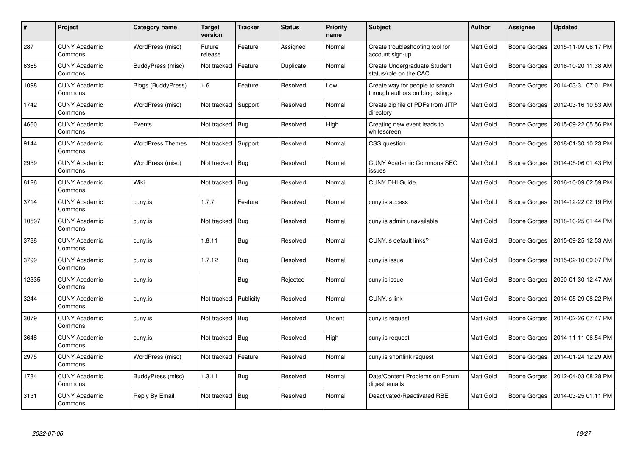| $\#$  | Project                         | Category name           | <b>Target</b><br>version | <b>Tracker</b> | <b>Status</b> | <b>Priority</b><br>name | <b>Subject</b>                                                      | Author           | <b>Assignee</b> | <b>Updated</b>      |
|-------|---------------------------------|-------------------------|--------------------------|----------------|---------------|-------------------------|---------------------------------------------------------------------|------------------|-----------------|---------------------|
| 287   | <b>CUNY Academic</b><br>Commons | WordPress (misc)        | Future<br>release        | Feature        | Assigned      | Normal                  | Create troubleshooting tool for<br>account sign-up                  | Matt Gold        | Boone Gorges    | 2015-11-09 06:17 PM |
| 6365  | <b>CUNY Academic</b><br>Commons | BuddyPress (misc)       | Not tracked              | Feature        | Duplicate     | Normal                  | Create Undergraduate Student<br>status/role on the CAC              | Matt Gold        | Boone Gorges    | 2016-10-20 11:38 AM |
| 1098  | <b>CUNY Academic</b><br>Commons | Blogs (BuddyPress)      | 1.6                      | Feature        | Resolved      | Low                     | Create way for people to search<br>through authors on blog listings | Matt Gold        | Boone Gorges    | 2014-03-31 07:01 PM |
| 1742  | <b>CUNY Academic</b><br>Commons | WordPress (misc)        | Not tracked              | Support        | Resolved      | Normal                  | Create zip file of PDFs from JITP<br>directory                      | Matt Gold        | Boone Gorges    | 2012-03-16 10:53 AM |
| 4660  | <b>CUNY Academic</b><br>Commons | Events                  | Not tracked              | Bug            | Resolved      | High                    | Creating new event leads to<br>whitescreen                          | <b>Matt Gold</b> | Boone Gorges    | 2015-09-22 05:56 PM |
| 9144  | <b>CUNY Academic</b><br>Commons | <b>WordPress Themes</b> | Not tracked              | Support        | Resolved      | Normal                  | CSS question                                                        | Matt Gold        | Boone Gorges    | 2018-01-30 10:23 PM |
| 2959  | <b>CUNY Academic</b><br>Commons | WordPress (misc)        | Not tracked              | Bug            | Resolved      | Normal                  | <b>CUNY Academic Commons SEO</b><br>issues                          | Matt Gold        | Boone Gorges    | 2014-05-06 01:43 PM |
| 6126  | <b>CUNY Academic</b><br>Commons | Wiki                    | Not tracked              | Bug            | Resolved      | Normal                  | <b>CUNY DHI Guide</b>                                               | Matt Gold        | Boone Gorges    | 2016-10-09 02:59 PM |
| 3714  | <b>CUNY Academic</b><br>Commons | cuny.is                 | 1.7.7                    | Feature        | Resolved      | Normal                  | cuny.is access                                                      | Matt Gold        | Boone Gorges    | 2014-12-22 02:19 PM |
| 10597 | <b>CUNY Academic</b><br>Commons | cuny.is                 | Not tracked              | Bug            | Resolved      | Normal                  | cuny.is admin unavailable                                           | Matt Gold        | Boone Gorges    | 2018-10-25 01:44 PM |
| 3788  | <b>CUNY Academic</b><br>Commons | cuny.is                 | 1.8.11                   | Bug            | Resolved      | Normal                  | CUNY.is default links?                                              | Matt Gold        | Boone Gorges    | 2015-09-25 12:53 AM |
| 3799  | <b>CUNY Academic</b><br>Commons | cuny.is                 | 1.7.12                   | <b>Bug</b>     | Resolved      | Normal                  | cuny.is issue                                                       | Matt Gold        | Boone Gorges    | 2015-02-10 09:07 PM |
| 12335 | <b>CUNY Academic</b><br>Commons | cuny.is                 |                          | <b>Bug</b>     | Rejected      | Normal                  | cuny.is issue                                                       | Matt Gold        | Boone Gorges    | 2020-01-30 12:47 AM |
| 3244  | <b>CUNY Academic</b><br>Commons | cuny.is                 | Not tracked              | Publicity      | Resolved      | Normal                  | CUNY.is link                                                        | Matt Gold        | Boone Gorges    | 2014-05-29 08:22 PM |
| 3079  | <b>CUNY Academic</b><br>Commons | cuny.is                 | Not tracked              | <b>Bug</b>     | Resolved      | Urgent                  | cuny.is request                                                     | Matt Gold        | Boone Gorges    | 2014-02-26 07:47 PM |
| 3648  | <b>CUNY Academic</b><br>Commons | cuny.is                 | Not tracked              | Bug            | Resolved      | High                    | cuny.is request                                                     | Matt Gold        | Boone Gorges    | 2014-11-11 06:54 PM |
| 2975  | <b>CUNY Academic</b><br>Commons | WordPress (misc)        | Not tracked              | Feature        | Resolved      | Normal                  | cuny.is shortlink request                                           | Matt Gold        | Boone Gorges    | 2014-01-24 12:29 AM |
| 1784  | <b>CUNY Academic</b><br>Commons | BuddyPress (misc)       | 1.3.11                   | <b>Bug</b>     | Resolved      | Normal                  | Date/Content Problems on Forum<br>digest emails                     | Matt Gold        | Boone Gorges    | 2012-04-03 08:28 PM |
| 3131  | <b>CUNY Academic</b><br>Commons | Reply By Email          | Not tracked              | Bug            | Resolved      | Normal                  | Deactivated/Reactivated RBE                                         | Matt Gold        | Boone Gorges    | 2014-03-25 01:11 PM |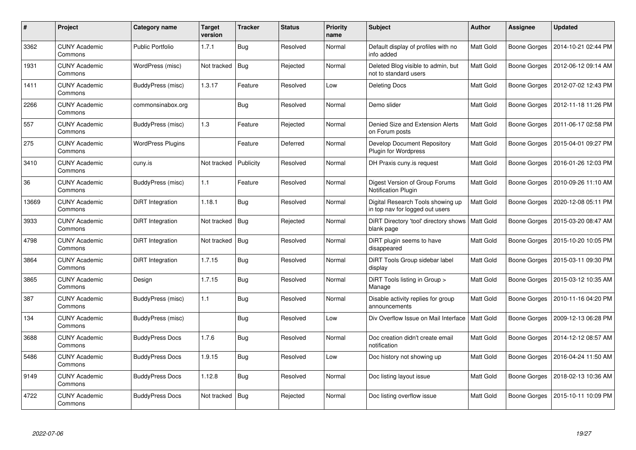| $\#$  | <b>Project</b>                  | Category name            | <b>Target</b><br>version | <b>Tracker</b> | <b>Status</b> | <b>Priority</b><br>name | <b>Subject</b>                                                       | Author           | <b>Assignee</b>     | <b>Updated</b>      |
|-------|---------------------------------|--------------------------|--------------------------|----------------|---------------|-------------------------|----------------------------------------------------------------------|------------------|---------------------|---------------------|
| 3362  | <b>CUNY Academic</b><br>Commons | <b>Public Portfolio</b>  | 1.7.1                    | Bug            | Resolved      | Normal                  | Default display of profiles with no<br>info added                    | Matt Gold        | <b>Boone Gorges</b> | 2014-10-21 02:44 PM |
| 1931  | <b>CUNY Academic</b><br>Commons | WordPress (misc)         | Not tracked              | Bug            | Rejected      | Normal                  | Deleted Blog visible to admin, but<br>not to standard users          | Matt Gold        | Boone Gorges        | 2012-06-12 09:14 AM |
| 1411  | <b>CUNY Academic</b><br>Commons | BuddyPress (misc)        | 1.3.17                   | Feature        | Resolved      | Low                     | Deleting Docs                                                        | Matt Gold        | Boone Gorges        | 2012-07-02 12:43 PM |
| 2266  | <b>CUNY Academic</b><br>Commons | commonsinabox.org        |                          | <b>Bug</b>     | Resolved      | Normal                  | Demo slider                                                          | Matt Gold        | Boone Gorges        | 2012-11-18 11:26 PM |
| 557   | <b>CUNY Academic</b><br>Commons | BuddyPress (misc)        | 1.3                      | Feature        | Rejected      | Normal                  | Denied Size and Extension Alerts<br>on Forum posts                   | Matt Gold        | Boone Gorges        | 2011-06-17 02:58 PM |
| 275   | <b>CUNY Academic</b><br>Commons | <b>WordPress Plugins</b> |                          | Feature        | Deferred      | Normal                  | Develop Document Repository<br>Plugin for Wordpress                  | Matt Gold        | Boone Gorges        | 2015-04-01 09:27 PM |
| 3410  | <b>CUNY Academic</b><br>Commons | cuny.is                  | Not tracked              | Publicity      | Resolved      | Normal                  | DH Praxis cuny is request                                            | Matt Gold        | Boone Gorges        | 2016-01-26 12:03 PM |
| 36    | <b>CUNY Academic</b><br>Commons | BuddyPress (misc)        | 1.1                      | Feature        | Resolved      | Normal                  | Digest Version of Group Forums<br><b>Notification Plugin</b>         | Matt Gold        | Boone Gorges        | 2010-09-26 11:10 AM |
| 13669 | <b>CUNY Academic</b><br>Commons | DiRT Integration         | 1.18.1                   | Bug            | Resolved      | Normal                  | Digital Research Tools showing up<br>in top nav for logged out users | Matt Gold        | Boone Gorges        | 2020-12-08 05:11 PM |
| 3933  | <b>CUNY Academic</b><br>Commons | DiRT Integration         | Not tracked              | Bug            | Rejected      | Normal                  | DiRT Directory 'tool' directory shows<br>blank page                  | <b>Matt Gold</b> | Boone Gorges        | 2015-03-20 08:47 AM |
| 4798  | <b>CUNY Academic</b><br>Commons | DiRT Integration         | Not tracked              | Bug            | Resolved      | Normal                  | DiRT plugin seems to have<br>disappeared                             | Matt Gold        | <b>Boone Gorges</b> | 2015-10-20 10:05 PM |
| 3864  | <b>CUNY Academic</b><br>Commons | DiRT Integration         | 1.7.15                   | <b>Bug</b>     | Resolved      | Normal                  | DiRT Tools Group sidebar label<br>display                            | Matt Gold        | Boone Gorges        | 2015-03-11 09:30 PM |
| 3865  | <b>CUNY Academic</b><br>Commons | Design                   | 1.7.15                   | Bug            | Resolved      | Normal                  | DiRT Tools listing in Group ><br>Manage                              | <b>Matt Gold</b> | Boone Gorges        | 2015-03-12 10:35 AM |
| 387   | <b>CUNY Academic</b><br>Commons | BuddyPress (misc)        | 1.1                      | <b>Bug</b>     | Resolved      | Normal                  | Disable activity replies for group<br>announcements                  | Matt Gold        | Boone Gorges        | 2010-11-16 04:20 PM |
| 134   | <b>CUNY Academic</b><br>Commons | BuddyPress (misc)        |                          | <b>Bug</b>     | Resolved      | Low                     | Div Overflow Issue on Mail Interface                                 | <b>Matt Gold</b> | Boone Gorges        | 2009-12-13 06:28 PM |
| 3688  | <b>CUNY Academic</b><br>Commons | <b>BuddyPress Docs</b>   | 1.7.6                    | <b>Bug</b>     | Resolved      | Normal                  | Doc creation didn't create email<br>notification                     | Matt Gold        | Boone Gorges        | 2014-12-12 08:57 AM |
| 5486  | <b>CUNY Academic</b><br>Commons | <b>BuddyPress Docs</b>   | 1.9.15                   | Bug            | Resolved      | Low                     | Doc history not showing up                                           | Matt Gold        | Boone Gorges        | 2016-04-24 11:50 AM |
| 9149  | <b>CUNY Academic</b><br>Commons | <b>BuddyPress Docs</b>   | 1.12.8                   | <b>Bug</b>     | Resolved      | Normal                  | Doc listing layout issue                                             | Matt Gold        | Boone Gorges        | 2018-02-13 10:36 AM |
| 4722  | <b>CUNY Academic</b><br>Commons | <b>BuddyPress Docs</b>   | Not tracked              | Bug            | Rejected      | Normal                  | Doc listing overflow issue                                           | Matt Gold        | Boone Gorges        | 2015-10-11 10:09 PM |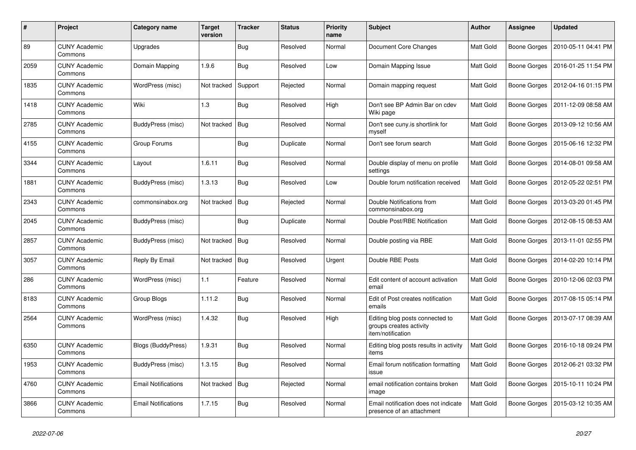| $\#$ | Project                         | Category name              | <b>Target</b><br>version | <b>Tracker</b> | <b>Status</b> | <b>Priority</b><br>name | <b>Subject</b>                                                                  | Author           | <b>Assignee</b> | <b>Updated</b>      |
|------|---------------------------------|----------------------------|--------------------------|----------------|---------------|-------------------------|---------------------------------------------------------------------------------|------------------|-----------------|---------------------|
| 89   | <b>CUNY Academic</b><br>Commons | Upgrades                   |                          | <b>Bug</b>     | Resolved      | Normal                  | Document Core Changes                                                           | Matt Gold        | Boone Gorges    | 2010-05-11 04:41 PM |
| 2059 | <b>CUNY Academic</b><br>Commons | Domain Mapping             | 1.9.6                    | Bug            | Resolved      | Low                     | Domain Mapping Issue                                                            | Matt Gold        | Boone Gorges    | 2016-01-25 11:54 PM |
| 1835 | <b>CUNY Academic</b><br>Commons | WordPress (misc)           | Not tracked              | Support        | Rejected      | Normal                  | Domain mapping request                                                          | Matt Gold        | Boone Gorges    | 2012-04-16 01:15 PM |
| 1418 | <b>CUNY Academic</b><br>Commons | Wiki                       | 1.3                      | <b>Bug</b>     | Resolved      | High                    | Don't see BP Admin Bar on cdev<br>Wiki page                                     | Matt Gold        | Boone Gorges    | 2011-12-09 08:58 AM |
| 2785 | <b>CUNY Academic</b><br>Commons | <b>BuddyPress (misc)</b>   | Not tracked              | Bug            | Resolved      | Normal                  | Don't see cuny.is shortlink for<br>myself                                       | Matt Gold        | Boone Gorges    | 2013-09-12 10:56 AM |
| 4155 | <b>CUNY Academic</b><br>Commons | Group Forums               |                          | <b>Bug</b>     | Duplicate     | Normal                  | Don't see forum search                                                          | Matt Gold        | Boone Gorges    | 2015-06-16 12:32 PM |
| 3344 | <b>CUNY Academic</b><br>Commons | Layout                     | 1.6.11                   | <b>Bug</b>     | Resolved      | Normal                  | Double display of menu on profile<br>settings                                   | Matt Gold        | Boone Gorges    | 2014-08-01 09:58 AM |
| 1881 | <b>CUNY Academic</b><br>Commons | BuddyPress (misc)          | 1.3.13                   | <b>Bug</b>     | Resolved      | Low                     | Double forum notification received                                              | Matt Gold        | Boone Gorges    | 2012-05-22 02:51 PM |
| 2343 | <b>CUNY Academic</b><br>Commons | commonsinabox.org          | Not tracked              | Bug            | Rejected      | Normal                  | Double Notifications from<br>commonsinabox.org                                  | <b>Matt Gold</b> | Boone Gorges    | 2013-03-20 01:45 PM |
| 2045 | <b>CUNY Academic</b><br>Commons | BuddyPress (misc)          |                          | <b>Bug</b>     | Duplicate     | Normal                  | Double Post/RBE Notification                                                    | Matt Gold        | Boone Gorges    | 2012-08-15 08:53 AM |
| 2857 | <b>CUNY Academic</b><br>Commons | BuddyPress (misc)          | Not tracked              | <b>Bug</b>     | Resolved      | Normal                  | Double posting via RBE                                                          | Matt Gold        | Boone Gorges    | 2013-11-01 02:55 PM |
| 3057 | <b>CUNY Academic</b><br>Commons | Reply By Email             | Not tracked              | Bug            | Resolved      | Urgent                  | Double RBE Posts                                                                | Matt Gold        | Boone Gorges    | 2014-02-20 10:14 PM |
| 286  | <b>CUNY Academic</b><br>Commons | WordPress (misc)           | 1.1                      | Feature        | Resolved      | Normal                  | Edit content of account activation<br>email                                     | Matt Gold        | Boone Gorges    | 2010-12-06 02:03 PM |
| 8183 | <b>CUNY Academic</b><br>Commons | Group Blogs                | 1.11.2                   | <b>Bug</b>     | Resolved      | Normal                  | Edit of Post creates notification<br>emails                                     | <b>Matt Gold</b> | Boone Gorges    | 2017-08-15 05:14 PM |
| 2564 | <b>CUNY Academic</b><br>Commons | WordPress (misc)           | 1.4.32                   | Bug            | Resolved      | High                    | Editing blog posts connected to<br>groups creates activity<br>item/notification | Matt Gold        | Boone Gorges    | 2013-07-17 08:39 AM |
| 6350 | <b>CUNY Academic</b><br>Commons | Blogs (BuddyPress)         | 1.9.31                   | Bug            | Resolved      | Normal                  | Editing blog posts results in activity<br>items                                 | Matt Gold        | Boone Gorges    | 2016-10-18 09:24 PM |
| 1953 | <b>CUNY Academic</b><br>Commons | BuddyPress (misc)          | 1.3.15                   | <b>Bug</b>     | Resolved      | Normal                  | Email forum notification formatting<br>issue                                    | Matt Gold        | Boone Gorges    | 2012-06-21 03:32 PM |
| 4760 | <b>CUNY Academic</b><br>Commons | <b>Email Notifications</b> | Not tracked              | Bug            | Rejected      | Normal                  | email notification contains broken<br>image                                     | Matt Gold        | Boone Gorges    | 2015-10-11 10:24 PM |
| 3866 | <b>CUNY Academic</b><br>Commons | <b>Email Notifications</b> | 1.7.15                   | Bug            | Resolved      | Normal                  | Email notification does not indicate<br>presence of an attachment               | Matt Gold        | Boone Gorges    | 2015-03-12 10:35 AM |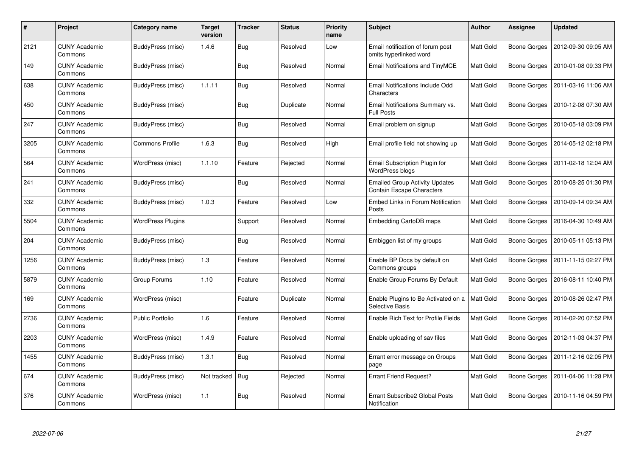| #    | Project                         | Category name            | <b>Target</b><br>version | <b>Tracker</b> | <b>Status</b> | <b>Priority</b><br>name | <b>Subject</b>                                                            | Author    | Assignee            | <b>Updated</b>      |
|------|---------------------------------|--------------------------|--------------------------|----------------|---------------|-------------------------|---------------------------------------------------------------------------|-----------|---------------------|---------------------|
| 2121 | <b>CUNY Academic</b><br>Commons | BuddyPress (misc)        | 1.4.6                    | <b>Bug</b>     | Resolved      | Low                     | Email notification of forum post<br>omits hyperlinked word                | Matt Gold | <b>Boone Gorges</b> | 2012-09-30 09:05 AM |
| 149  | <b>CUNY Academic</b><br>Commons | BuddyPress (misc)        |                          | Bug            | Resolved      | Normal                  | Email Notifications and TinyMCE                                           | Matt Gold | Boone Gorges        | 2010-01-08 09:33 PM |
| 638  | <b>CUNY Academic</b><br>Commons | BuddyPress (misc)        | 1.1.11                   | <b>Bug</b>     | Resolved      | Normal                  | Email Notifications Include Odd<br>Characters                             | Matt Gold | Boone Gorges        | 2011-03-16 11:06 AM |
| 450  | CUNY Academic<br>Commons        | BuddyPress (misc)        |                          | <b>Bug</b>     | Duplicate     | Normal                  | Email Notifications Summary vs.<br><b>Full Posts</b>                      | Matt Gold | Boone Gorges        | 2010-12-08 07:30 AM |
| 247  | <b>CUNY Academic</b><br>Commons | BuddyPress (misc)        |                          | <b>Bug</b>     | Resolved      | Normal                  | Email problem on signup                                                   | Matt Gold | Boone Gorges        | 2010-05-18 03:09 PM |
| 3205 | <b>CUNY Academic</b><br>Commons | <b>Commons Profile</b>   | 1.6.3                    | <b>Bug</b>     | Resolved      | High                    | Email profile field not showing up                                        | Matt Gold | Boone Gorges        | 2014-05-12 02:18 PM |
| 564  | <b>CUNY Academic</b><br>Commons | WordPress (misc)         | 1.1.10                   | Feature        | Rejected      | Normal                  | Email Subscription Plugin for<br><b>WordPress blogs</b>                   | Matt Gold | Boone Gorges        | 2011-02-18 12:04 AM |
| 241  | <b>CUNY Academic</b><br>Commons | <b>BuddyPress (misc)</b> |                          | <b>Bug</b>     | Resolved      | Normal                  | <b>Emailed Group Activity Updates</b><br><b>Contain Escape Characters</b> | Matt Gold | Boone Gorges        | 2010-08-25 01:30 PM |
| 332  | <b>CUNY Academic</b><br>Commons | BuddyPress (misc)        | 1.0.3                    | Feature        | Resolved      | Low                     | Embed Links in Forum Notification<br>Posts                                | Matt Gold | <b>Boone Gorges</b> | 2010-09-14 09:34 AM |
| 5504 | <b>CUNY Academic</b><br>Commons | WordPress Plugins        |                          | Support        | Resolved      | Normal                  | Embedding CartoDB maps                                                    | Matt Gold | Boone Gorges        | 2016-04-30 10:49 AM |
| 204  | <b>CUNY Academic</b><br>Commons | BuddyPress (misc)        |                          | <b>Bug</b>     | Resolved      | Normal                  | Embiggen list of my groups                                                | Matt Gold | Boone Gorges        | 2010-05-11 05:13 PM |
| 1256 | <b>CUNY Academic</b><br>Commons | <b>BuddyPress (misc)</b> | 1.3                      | Feature        | Resolved      | Normal                  | Enable BP Docs by default on<br>Commons groups                            | Matt Gold | Boone Gorges        | 2011-11-15 02:27 PM |
| 5879 | <b>CUNY Academic</b><br>Commons | Group Forums             | 1.10                     | Feature        | Resolved      | Normal                  | Enable Group Forums By Default                                            | Matt Gold | Boone Gorges        | 2016-08-11 10:40 PM |
| 169  | <b>CUNY Academic</b><br>Commons | WordPress (misc)         |                          | Feature        | Duplicate     | Normal                  | Enable Plugins to Be Activated on a<br><b>Selective Basis</b>             | Matt Gold | Boone Gorges        | 2010-08-26 02:47 PM |
| 2736 | <b>CUNY Academic</b><br>Commons | <b>Public Portfolio</b>  | 1.6                      | Feature        | Resolved      | Normal                  | Enable Rich Text for Profile Fields                                       | Matt Gold | Boone Gorges        | 2014-02-20 07:52 PM |
| 2203 | <b>CUNY Academic</b><br>Commons | WordPress (misc)         | 1.4.9                    | Feature        | Resolved      | Normal                  | Enable uploading of sav files                                             | Matt Gold | Boone Gorges        | 2012-11-03 04:37 PM |
| 1455 | <b>CUNY Academic</b><br>Commons | BuddyPress (misc)        | 1.3.1                    | Bug            | Resolved      | Normal                  | Errant error message on Groups<br>page                                    | Matt Gold | Boone Gorges        | 2011-12-16 02:05 PM |
| 674  | <b>CUNY Academic</b><br>Commons | BuddyPress (misc)        | Not tracked              | Bug            | Rejected      | Normal                  | <b>Errant Friend Request?</b>                                             | Matt Gold | Boone Gorges        | 2011-04-06 11:28 PM |
| 376  | <b>CUNY Academic</b><br>Commons | WordPress (misc)         | 1.1                      | <b>Bug</b>     | Resolved      | Normal                  | Errant Subscribe2 Global Posts<br>Notification                            | Matt Gold | Boone Gorges        | 2010-11-16 04:59 PM |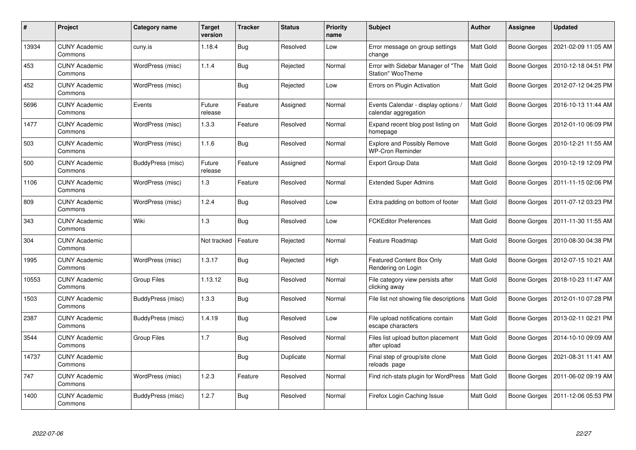| #     | Project                         | Category name            | <b>Target</b><br>version | <b>Tracker</b> | <b>Status</b> | <b>Priority</b><br>name | <b>Subject</b>                                                | Author    | Assignee            | <b>Updated</b>      |
|-------|---------------------------------|--------------------------|--------------------------|----------------|---------------|-------------------------|---------------------------------------------------------------|-----------|---------------------|---------------------|
| 13934 | <b>CUNY Academic</b><br>Commons | cuny.is                  | 1.18.4                   | <b>Bug</b>     | Resolved      | Low                     | Error message on group settings<br>change                     | Matt Gold | <b>Boone Gorges</b> | 2021-02-09 11:05 AM |
| 453   | <b>CUNY Academic</b><br>Commons | WordPress (misc)         | 1.1.4                    | <b>Bug</b>     | Rejected      | Normal                  | Error with Sidebar Manager of "The<br>Station" WooTheme       | Matt Gold | Boone Gorges        | 2010-12-18 04:51 PM |
| 452   | <b>CUNY Academic</b><br>Commons | WordPress (misc)         |                          | <b>Bug</b>     | Rejected      | Low                     | Errors on Plugin Activation                                   | Matt Gold | Boone Gorges        | 2012-07-12 04:25 PM |
| 5696  | <b>CUNY Academic</b><br>Commons | Events                   | Future<br>release        | Feature        | Assigned      | Normal                  | Events Calendar - display options /<br>calendar aggregation   | Matt Gold | Boone Gorges        | 2016-10-13 11:44 AM |
| 1477  | <b>CUNY Academic</b><br>Commons | WordPress (misc)         | 1.3.3                    | Feature        | Resolved      | Normal                  | Expand recent blog post listing on<br>homepage                | Matt Gold | Boone Gorges        | 2012-01-10 06:09 PM |
| 503   | <b>CUNY Academic</b><br>Commons | WordPress (misc)         | 1.1.6                    | Bug            | Resolved      | Normal                  | <b>Explore and Possibly Remove</b><br><b>WP-Cron Reminder</b> | Matt Gold | Boone Gorges        | 2010-12-21 11:55 AM |
| 500   | <b>CUNY Academic</b><br>Commons | <b>BuddyPress (misc)</b> | Future<br>release        | Feature        | Assigned      | Normal                  | Export Group Data                                             | Matt Gold | Boone Gorges        | 2010-12-19 12:09 PM |
| 1106  | <b>CUNY Academic</b><br>Commons | WordPress (misc)         | 1.3                      | Feature        | Resolved      | Normal                  | <b>Extended Super Admins</b>                                  | Matt Gold | Boone Gorges        | 2011-11-15 02:06 PM |
| 809   | <b>CUNY Academic</b><br>Commons | WordPress (misc)         | 1.2.4                    | Bug            | Resolved      | Low                     | Extra padding on bottom of footer                             | Matt Gold | Boone Gorges        | 2011-07-12 03:23 PM |
| 343   | <b>CUNY Academic</b><br>Commons | Wiki                     | 1.3                      | <b>Bug</b>     | Resolved      | Low                     | <b>FCKEditor Preferences</b>                                  | Matt Gold | Boone Gorges        | 2011-11-30 11:55 AM |
| 304   | <b>CUNY Academic</b><br>Commons |                          | Not tracked              | Feature        | Rejected      | Normal                  | Feature Roadmap                                               | Matt Gold | Boone Gorges        | 2010-08-30 04:38 PM |
| 1995  | <b>CUNY Academic</b><br>Commons | WordPress (misc)         | 1.3.17                   | <b>Bug</b>     | Rejected      | High                    | Featured Content Box Only<br>Rendering on Login               | Matt Gold | Boone Gorges        | 2012-07-15 10:21 AM |
| 10553 | <b>CUNY Academic</b><br>Commons | Group Files              | 1.13.12                  | Bug            | Resolved      | Normal                  | File category view persists after<br>clicking away            | Matt Gold | Boone Gorges        | 2018-10-23 11:47 AM |
| 1503  | <b>CUNY Academic</b><br>Commons | BuddyPress (misc)        | 1.3.3                    | Bug            | Resolved      | Normal                  | File list not showing file descriptions                       | Matt Gold | Boone Gorges        | 2012-01-10 07:28 PM |
| 2387  | <b>CUNY Academic</b><br>Commons | BuddyPress (misc)        | 1.4.19                   | <b>Bug</b>     | Resolved      | Low                     | File upload notifications contain<br>escape characters        | Matt Gold | Boone Gorges        | 2013-02-11 02:21 PM |
| 3544  | <b>CUNY Academic</b><br>Commons | Group Files              | 1.7                      | <b>Bug</b>     | Resolved      | Normal                  | Files list upload button placement<br>after upload            | Matt Gold | Boone Gorges        | 2014-10-10 09:09 AM |
| 14737 | <b>CUNY Academic</b><br>Commons |                          |                          | Bug            | Duplicate     | Normal                  | Final step of group/site clone<br>reloads page                | Matt Gold | Boone Gorges        | 2021-08-31 11:41 AM |
| 747   | <b>CUNY Academic</b><br>Commons | WordPress (misc)         | 1.2.3                    | Feature        | Resolved      | Normal                  | Find rich-stats plugin for WordPress                          | Matt Gold | Boone Gorges        | 2011-06-02 09:19 AM |
| 1400  | CUNY Academic<br>Commons        | BuddyPress (misc)        | 1.2.7                    | <b>Bug</b>     | Resolved      | Normal                  | Firefox Login Caching Issue                                   | Matt Gold | Boone Gorges        | 2011-12-06 05:53 PM |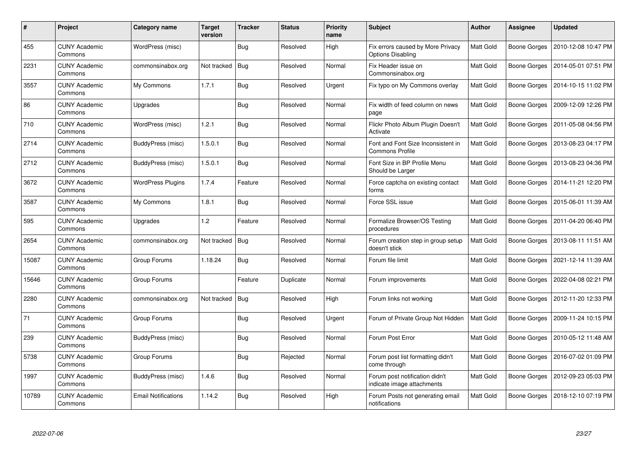| $\#$  | <b>Project</b>                  | Category name              | <b>Target</b><br>version | <b>Tracker</b> | <b>Status</b> | <b>Priority</b><br>name | Subject                                                       | Author           | <b>Assignee</b>     | <b>Updated</b>      |
|-------|---------------------------------|----------------------------|--------------------------|----------------|---------------|-------------------------|---------------------------------------------------------------|------------------|---------------------|---------------------|
| 455   | <b>CUNY Academic</b><br>Commons | WordPress (misc)           |                          | <b>Bug</b>     | Resolved      | High                    | Fix errors caused by More Privacy<br><b>Options Disabling</b> | Matt Gold        | <b>Boone Gorges</b> | 2010-12-08 10:47 PM |
| 2231  | <b>CUNY Academic</b><br>Commons | commonsinabox.org          | Not tracked              | Bug            | Resolved      | Normal                  | Fix Header issue on<br>Commonsinabox.org                      | Matt Gold        | Boone Gorges        | 2014-05-01 07:51 PM |
| 3557  | <b>CUNY Academic</b><br>Commons | My Commons                 | 1.7.1                    | <b>Bug</b>     | Resolved      | Urgent                  | Fix typo on My Commons overlay                                | Matt Gold        | Boone Gorges        | 2014-10-15 11:02 PM |
| 86    | <b>CUNY Academic</b><br>Commons | Upgrades                   |                          | <b>Bug</b>     | Resolved      | Normal                  | Fix width of feed column on news<br>page                      | Matt Gold        | Boone Gorges        | 2009-12-09 12:26 PM |
| 710   | <b>CUNY Academic</b><br>Commons | WordPress (misc)           | 1.2.1                    | Bug            | Resolved      | Normal                  | Flickr Photo Album Plugin Doesn't<br>Activate                 | Matt Gold        | <b>Boone Gorges</b> | 2011-05-08 04:56 PM |
| 2714  | <b>CUNY Academic</b><br>Commons | BuddyPress (misc)          | 1.5.0.1                  | <b>Bug</b>     | Resolved      | Normal                  | Font and Font Size Inconsistent in<br><b>Commons Profile</b>  | Matt Gold        | Boone Gorges        | 2013-08-23 04:17 PM |
| 2712  | <b>CUNY Academic</b><br>Commons | BuddyPress (misc)          | 1.5.0.1                  | <b>Bug</b>     | Resolved      | Normal                  | Font Size in BP Profile Menu<br>Should be Larger              | Matt Gold        | Boone Gorges        | 2013-08-23 04:36 PM |
| 3672  | <b>CUNY Academic</b><br>Commons | <b>WordPress Plugins</b>   | 1.7.4                    | Feature        | Resolved      | Normal                  | Force captcha on existing contact<br>forms                    | Matt Gold        | Boone Gorges        | 2014-11-21 12:20 PM |
| 3587  | <b>CUNY Academic</b><br>Commons | My Commons                 | 1.8.1                    | Bug            | Resolved      | Normal                  | Force SSL issue                                               | Matt Gold        | Boone Gorges        | 2015-06-01 11:39 AM |
| 595   | <b>CUNY Academic</b><br>Commons | Upgrades                   | 1.2                      | Feature        | Resolved      | Normal                  | Formalize Browser/OS Testing<br>procedures                    | Matt Gold        | Boone Gorges        | 2011-04-20 06:40 PM |
| 2654  | <b>CUNY Academic</b><br>Commons | commonsinabox.org          | Not tracked              | Bug            | Resolved      | Normal                  | Forum creation step in group setup<br>doesn't stick           | Matt Gold        | <b>Boone Gorges</b> | 2013-08-11 11:51 AM |
| 15087 | <b>CUNY Academic</b><br>Commons | Group Forums               | 1.18.24                  | <b>Bug</b>     | Resolved      | Normal                  | Forum file limit                                              | Matt Gold        | Boone Gorges        | 2021-12-14 11:39 AM |
| 15646 | <b>CUNY Academic</b><br>Commons | Group Forums               |                          | Feature        | Duplicate     | Normal                  | Forum improvements                                            | <b>Matt Gold</b> | Boone Gorges        | 2022-04-08 02:21 PM |
| 2280  | <b>CUNY Academic</b><br>Commons | commonsinabox.org          | Not tracked              | Bug            | Resolved      | High                    | Forum links not working                                       | Matt Gold        | Boone Gorges        | 2012-11-20 12:33 PM |
| 71    | <b>CUNY Academic</b><br>Commons | Group Forums               |                          | <b>Bug</b>     | Resolved      | Urgent                  | Forum of Private Group Not Hidden                             | Matt Gold        | Boone Gorges        | 2009-11-24 10:15 PM |
| 239   | <b>CUNY Academic</b><br>Commons | BuddyPress (misc)          |                          | <b>Bug</b>     | Resolved      | Normal                  | Forum Post Error                                              | Matt Gold        | Boone Gorges        | 2010-05-12 11:48 AM |
| 5738  | <b>CUNY Academic</b><br>Commons | Group Forums               |                          | <b>Bug</b>     | Rejected      | Normal                  | Forum post list formatting didn't<br>come through             | Matt Gold        | Boone Gorges        | 2016-07-02 01:09 PM |
| 1997  | <b>CUNY Academic</b><br>Commons | BuddyPress (misc)          | 1.4.6                    | <b>Bug</b>     | Resolved      | Normal                  | Forum post notification didn't<br>indicate image attachments  | Matt Gold        | Boone Gorges        | 2012-09-23 05:03 PM |
| 10789 | <b>CUNY Academic</b><br>Commons | <b>Email Notifications</b> | 1.14.2                   | <b>Bug</b>     | Resolved      | High                    | Forum Posts not generating email<br>notifications             | Matt Gold        | Boone Gorges        | 2018-12-10 07:19 PM |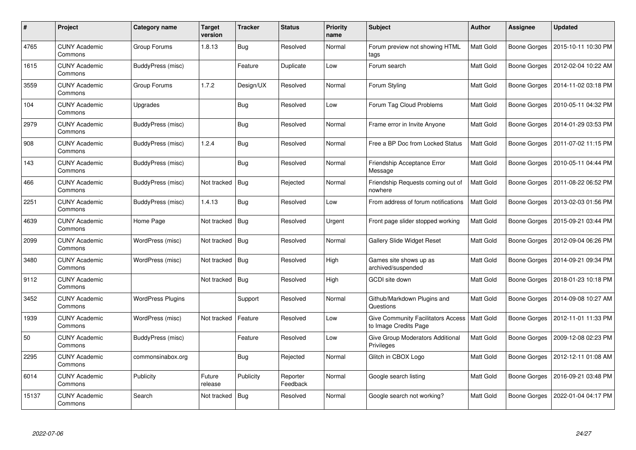| $\pmb{\#}$ | Project                         | <b>Category name</b>     | Target<br>version | <b>Tracker</b> | <b>Status</b>        | <b>Priority</b><br>name | <b>Subject</b>                                                     | <b>Author</b>    | <b>Assignee</b>     | <b>Updated</b>      |
|------------|---------------------------------|--------------------------|-------------------|----------------|----------------------|-------------------------|--------------------------------------------------------------------|------------------|---------------------|---------------------|
| 4765       | <b>CUNY Academic</b><br>Commons | Group Forums             | 1.8.13            | Bug            | Resolved             | Normal                  | Forum preview not showing HTML<br>tags                             | <b>Matt Gold</b> | Boone Gorges        | 2015-10-11 10:30 PM |
| 1615       | <b>CUNY Academic</b><br>Commons | BuddyPress (misc)        |                   | Feature        | Duplicate            | Low                     | Forum search                                                       | Matt Gold        | Boone Gorges        | 2012-02-04 10:22 AM |
| 3559       | <b>CUNY Academic</b><br>Commons | Group Forums             | 1.7.2             | Design/UX      | Resolved             | Normal                  | Forum Styling                                                      | Matt Gold        | Boone Gorges        | 2014-11-02 03:18 PM |
| 104        | <b>CUNY Academic</b><br>Commons | Upgrades                 |                   | <b>Bug</b>     | Resolved             | Low                     | Forum Tag Cloud Problems                                           | Matt Gold        | Boone Gorges        | 2010-05-11 04:32 PM |
| 2979       | <b>CUNY Academic</b><br>Commons | BuddyPress (misc)        |                   | <b>Bug</b>     | Resolved             | Normal                  | Frame error in Invite Anyone                                       | Matt Gold        | Boone Gorges        | 2014-01-29 03:53 PM |
| 908        | <b>CUNY Academic</b><br>Commons | BuddyPress (misc)        | 1.2.4             | Bug            | Resolved             | Normal                  | Free a BP Doc from Locked Status                                   | Matt Gold        | Boone Gorges        | 2011-07-02 11:15 PM |
| 143        | <b>CUNY Academic</b><br>Commons | BuddyPress (misc)        |                   | Bug            | Resolved             | Normal                  | Friendship Acceptance Error<br>Message                             | Matt Gold        | <b>Boone Gorges</b> | 2010-05-11 04:44 PM |
| 466        | <b>CUNY Academic</b><br>Commons | BuddyPress (misc)        | Not tracked       | Bug            | Rejected             | Normal                  | Friendship Requests coming out of<br>nowhere                       | Matt Gold        | Boone Gorges        | 2011-08-22 06:52 PM |
| 2251       | <b>CUNY Academic</b><br>Commons | BuddyPress (misc)        | 1.4.13            | <b>Bug</b>     | Resolved             | Low                     | From address of forum notifications                                | Matt Gold        | Boone Gorges        | 2013-02-03 01:56 PM |
| 4639       | <b>CUNY Academic</b><br>Commons | Home Page                | Not tracked       | Bug            | Resolved             | Urgent                  | Front page slider stopped working                                  | Matt Gold        | Boone Gorges        | 2015-09-21 03:44 PM |
| 2099       | <b>CUNY Academic</b><br>Commons | WordPress (misc)         | Not tracked       | Bug            | Resolved             | Normal                  | Gallery Slide Widget Reset                                         | Matt Gold        | Boone Gorges        | 2012-09-04 06:26 PM |
| 3480       | <b>CUNY Academic</b><br>Commons | WordPress (misc)         | Not tracked       | Bug            | Resolved             | High                    | Games site shows up as<br>archived/suspended                       | Matt Gold        | Boone Gorges        | 2014-09-21 09:34 PM |
| 9112       | <b>CUNY Academic</b><br>Commons |                          | Not tracked       | <b>Bug</b>     | Resolved             | High                    | <b>GCDI</b> site down                                              | Matt Gold        | Boone Gorges        | 2018-01-23 10:18 PM |
| 3452       | <b>CUNY Academic</b><br>Commons | <b>WordPress Plugins</b> |                   | Support        | Resolved             | Normal                  | Github/Markdown Plugins and<br>Questions                           | Matt Gold        | Boone Gorges        | 2014-09-08 10:27 AM |
| 1939       | <b>CUNY Academic</b><br>Commons | WordPress (misc)         | Not tracked       | Feature        | Resolved             | Low                     | <b>Give Community Facilitators Access</b><br>to Image Credits Page | Matt Gold        | Boone Gorges        | 2012-11-01 11:33 PM |
| 50         | <b>CUNY Academic</b><br>Commons | BuddyPress (misc)        |                   | Feature        | Resolved             | Low                     | Give Group Moderators Additional<br>Privileges                     | Matt Gold        | Boone Gorges        | 2009-12-08 02:23 PM |
| 2295       | <b>CUNY Academic</b><br>Commons | commonsinabox.org        |                   | Bug            | Rejected             | Normal                  | Glitch in CBOX Logo                                                | Matt Gold        | Boone Gorges        | 2012-12-11 01:08 AM |
| 6014       | <b>CUNY Academic</b><br>Commons | Publicity                | Future<br>release | Publicity      | Reporter<br>Feedback | Normal                  | Google search listing                                              | Matt Gold        | Boone Gorges        | 2016-09-21 03:48 PM |
| 15137      | <b>CUNY Academic</b><br>Commons | Search                   | Not tracked       | <b>Bug</b>     | Resolved             | Normal                  | Google search not working?                                         | Matt Gold        | Boone Gorges        | 2022-01-04 04:17 PM |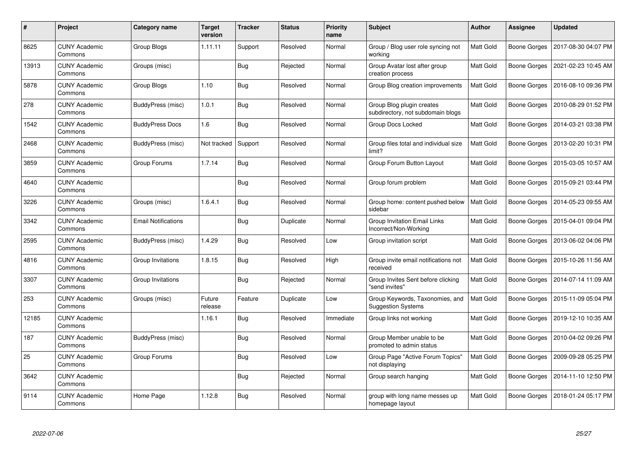| #     | Project                         | Category name              | Target<br>version | <b>Tracker</b> | <b>Status</b> | <b>Priority</b><br>name | <b>Subject</b>                                                 | <b>Author</b> | Assignee     | <b>Updated</b>      |
|-------|---------------------------------|----------------------------|-------------------|----------------|---------------|-------------------------|----------------------------------------------------------------|---------------|--------------|---------------------|
| 8625  | <b>CUNY Academic</b><br>Commons | Group Blogs                | 1.11.11           | Support        | Resolved      | Normal                  | Group / Blog user role syncing not<br>working                  | Matt Gold     | Boone Gorges | 2017-08-30 04:07 PM |
| 13913 | <b>CUNY Academic</b><br>Commons | Groups (misc)              |                   | <b>Bug</b>     | Rejected      | Normal                  | Group Avatar lost after group<br>creation process              | Matt Gold     | Boone Gorges | 2021-02-23 10:45 AM |
| 5878  | <b>CUNY Academic</b><br>Commons | Group Blogs                | 1.10              | <b>Bug</b>     | Resolved      | Normal                  | Group Blog creation improvements                               | Matt Gold     | Boone Gorges | 2016-08-10 09:36 PM |
| 278   | <b>CUNY Academic</b><br>Commons | BuddyPress (misc)          | 1.0.1             | <b>Bug</b>     | Resolved      | Normal                  | Group Blog plugin creates<br>subdirectory, not subdomain blogs | Matt Gold     | Boone Gorges | 2010-08-29 01:52 PM |
| 1542  | <b>CUNY Academic</b><br>Commons | <b>BuddyPress Docs</b>     | 1.6               | <b>Bug</b>     | Resolved      | Normal                  | Group Docs Locked                                              | Matt Gold     | Boone Gorges | 2014-03-21 03:38 PM |
| 2468  | <b>CUNY Academic</b><br>Commons | BuddyPress (misc)          | Not tracked       | Support        | Resolved      | Normal                  | Group files total and individual size<br>limit?                | Matt Gold     | Boone Gorges | 2013-02-20 10:31 PM |
| 3859  | <b>CUNY Academic</b><br>Commons | Group Forums               | 1.7.14            | <b>Bug</b>     | Resolved      | Normal                  | Group Forum Button Layout                                      | Matt Gold     | Boone Gorges | 2015-03-05 10:57 AM |
| 4640  | <b>CUNY Academic</b><br>Commons |                            |                   | <b>Bug</b>     | Resolved      | Normal                  | Group forum problem                                            | Matt Gold     | Boone Gorges | 2015-09-21 03:44 PM |
| 3226  | <b>CUNY Academic</b><br>Commons | Groups (misc)              | 1.6.4.1           | <b>Bug</b>     | Resolved      | Normal                  | Group home: content pushed below<br>sidebar                    | Matt Gold     | Boone Gorges | 2014-05-23 09:55 AM |
| 3342  | <b>CUNY Academic</b><br>Commons | <b>Email Notifications</b> |                   | Bug            | Duplicate     | Normal                  | Group Invitation Email Links<br>Incorrect/Non-Working          | Matt Gold     | Boone Gorges | 2015-04-01 09:04 PM |
| 2595  | <b>CUNY Academic</b><br>Commons | BuddyPress (misc)          | 1.4.29            | <b>Bug</b>     | Resolved      | Low                     | Group invitation script                                        | Matt Gold     | Boone Gorges | 2013-06-02 04:06 PM |
| 4816  | <b>CUNY Academic</b><br>Commons | Group Invitations          | 1.8.15            | <b>Bug</b>     | Resolved      | High                    | Group invite email notifications not<br>received               | Matt Gold     | Boone Gorges | 2015-10-26 11:56 AM |
| 3307  | <b>CUNY Academic</b><br>Commons | Group Invitations          |                   | <b>Bug</b>     | Rejected      | Normal                  | Group Invites Sent before clicking<br>"send invites"           | Matt Gold     | Boone Gorges | 2014-07-14 11:09 AM |
| 253   | <b>CUNY Academic</b><br>Commons | Groups (misc)              | Future<br>release | Feature        | Duplicate     | Low                     | Group Keywords, Taxonomies, and<br><b>Suggestion Systems</b>   | Matt Gold     | Boone Gorges | 2015-11-09 05:04 PM |
| 12185 | <b>CUNY Academic</b><br>Commons |                            | 1.16.1            | Bug            | Resolved      | Immediate               | Group links not working                                        | Matt Gold     | Boone Gorges | 2019-12-10 10:35 AM |
| 187   | <b>CUNY Academic</b><br>Commons | <b>BuddyPress (misc)</b>   |                   | <b>Bug</b>     | Resolved      | Normal                  | Group Member unable to be<br>promoted to admin status          | Matt Gold     | Boone Gorges | 2010-04-02 09:26 PM |
| 25    | <b>CUNY Academic</b><br>Commons | Group Forums               |                   | <b>Bug</b>     | Resolved      | Low                     | Group Page "Active Forum Topics"<br>not displaying             | Matt Gold     | Boone Gorges | 2009-09-28 05:25 PM |
| 3642  | <b>CUNY Academic</b><br>Commons |                            |                   | Bug            | Rejected      | Normal                  | Group search hanging                                           | Matt Gold     | Boone Gorges | 2014-11-10 12:50 PM |
| 9114  | <b>CUNY Academic</b><br>Commons | Home Page                  | 1.12.8            | Bug            | Resolved      | Normal                  | group with long name messes up<br>homepage layout              | Matt Gold     | Boone Gorges | 2018-01-24 05:17 PM |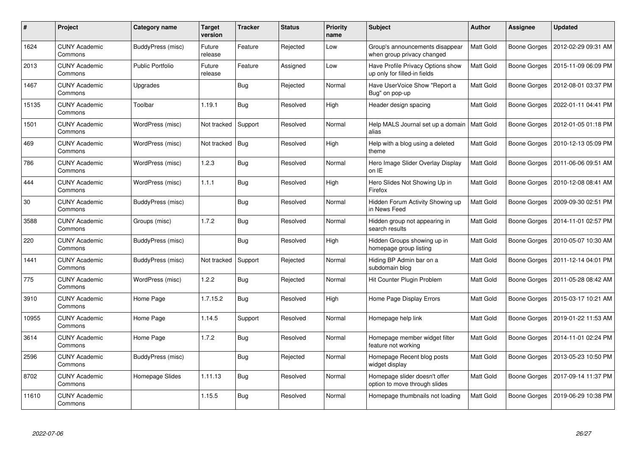| #     | <b>Project</b>                  | Category name           | <b>Target</b><br>version | <b>Tracker</b> | <b>Status</b> | <b>Priority</b><br>name | <b>Subject</b>                                                    | <b>Author</b>    | Assignee            | <b>Updated</b>      |
|-------|---------------------------------|-------------------------|--------------------------|----------------|---------------|-------------------------|-------------------------------------------------------------------|------------------|---------------------|---------------------|
| 1624  | <b>CUNY Academic</b><br>Commons | BuddyPress (misc)       | Future<br>release        | Feature        | Rejected      | Low                     | Group's announcements disappear<br>when group privacy changed     | Matt Gold        | <b>Boone Gorges</b> | 2012-02-29 09:31 AM |
| 2013  | <b>CUNY Academic</b><br>Commons | <b>Public Portfolio</b> | Future<br>release        | Feature        | Assigned      | Low                     | Have Profile Privacy Options show<br>up only for filled-in fields | Matt Gold        | Boone Gorges        | 2015-11-09 06:09 PM |
| 1467  | <b>CUNY Academic</b><br>Commons | Upgrades                |                          | <b>Bug</b>     | Rejected      | Normal                  | Have UserVoice Show "Report a<br>Bug" on pop-up                   | Matt Gold        | Boone Gorges        | 2012-08-01 03:37 PM |
| 15135 | <b>CUNY Academic</b><br>Commons | Toolbar                 | 1.19.1                   | <b>Bug</b>     | Resolved      | High                    | Header design spacing                                             | Matt Gold        | Boone Gorges        | 2022-01-11 04:41 PM |
| 1501  | <b>CUNY Academic</b><br>Commons | WordPress (misc)        | Not tracked              | Support        | Resolved      | Normal                  | Help MALS Journal set up a domain<br>alias                        | <b>Matt Gold</b> | Boone Gorges        | 2012-01-05 01:18 PM |
| 469   | <b>CUNY Academic</b><br>Commons | WordPress (misc)        | Not tracked              | Bug            | Resolved      | High                    | Help with a blog using a deleted<br>theme                         | Matt Gold        | Boone Gorges        | 2010-12-13 05:09 PM |
| 786   | <b>CUNY Academic</b><br>Commons | WordPress (misc)        | 1.2.3                    | <b>Bug</b>     | Resolved      | Normal                  | Hero Image Slider Overlay Display<br>on IE                        | Matt Gold        | Boone Gorges        | 2011-06-06 09:51 AM |
| 444   | <b>CUNY Academic</b><br>Commons | WordPress (misc)        | 1.1.1                    | <b>Bug</b>     | Resolved      | High                    | Hero Slides Not Showing Up in<br>Firefox                          | Matt Gold        | Boone Gorges        | 2010-12-08 08:41 AM |
| 30    | <b>CUNY Academic</b><br>Commons | BuddyPress (misc)       |                          | Bug            | Resolved      | Normal                  | Hidden Forum Activity Showing up<br>in News Feed                  | Matt Gold        | Boone Gorges        | 2009-09-30 02:51 PM |
| 3588  | <b>CUNY Academic</b><br>Commons | Groups (misc)           | 1.7.2                    | Bug            | Resolved      | Normal                  | Hidden group not appearing in<br>search results                   | Matt Gold        | Boone Gorges        | 2014-11-01 02:57 PM |
| 220   | <b>CUNY Academic</b><br>Commons | BuddyPress (misc)       |                          | <b>Bug</b>     | Resolved      | High                    | Hidden Groups showing up in<br>homepage group listing             | Matt Gold        | Boone Gorges        | 2010-05-07 10:30 AM |
| 1441  | <b>CUNY Academic</b><br>Commons | BuddyPress (misc)       | Not tracked              | Support        | Rejected      | Normal                  | Hiding BP Admin bar on a<br>subdomain blog                        | Matt Gold        | Boone Gorges        | 2011-12-14 04:01 PM |
| 775   | <b>CUNY Academic</b><br>Commons | WordPress (misc)        | 1.2.2                    | Bug            | Rejected      | Normal                  | Hit Counter Plugin Problem                                        | Matt Gold        | Boone Gorges        | 2011-05-28 08:42 AM |
| 3910  | <b>CUNY Academic</b><br>Commons | Home Page               | 1.7.15.2                 | <b>Bug</b>     | Resolved      | High                    | Home Page Display Errors                                          | Matt Gold        | Boone Gorges        | 2015-03-17 10:21 AM |
| 10955 | <b>CUNY Academic</b><br>Commons | Home Page               | 1.14.5                   | Support        | Resolved      | Normal                  | Homepage help link                                                | Matt Gold        | Boone Gorges        | 2019-01-22 11:53 AM |
| 3614  | <b>CUNY Academic</b><br>Commons | Home Page               | 1.7.2                    | <b>Bug</b>     | Resolved      | Normal                  | Homepage member widget filter<br>feature not working              | Matt Gold        | <b>Boone Gorges</b> | 2014-11-01 02:24 PM |
| 2596  | <b>CUNY Academic</b><br>Commons | BuddyPress (misc)       |                          | <b>Bug</b>     | Rejected      | Normal                  | Homepage Recent blog posts<br>widget display                      | Matt Gold        | Boone Gorges        | 2013-05-23 10:50 PM |
| 8702  | <b>CUNY Academic</b><br>Commons | Homepage Slides         | 1.11.13                  | <b>Bug</b>     | Resolved      | Normal                  | Homepage slider doesn't offer<br>option to move through slides    | Matt Gold        | Boone Gorges        | 2017-09-14 11:37 PM |
| 11610 | CUNY Academic<br>Commons        |                         | 1.15.5                   | <b>Bug</b>     | Resolved      | Normal                  | Homepage thumbnails not loading                                   | Matt Gold        | Boone Gorges        | 2019-06-29 10:38 PM |